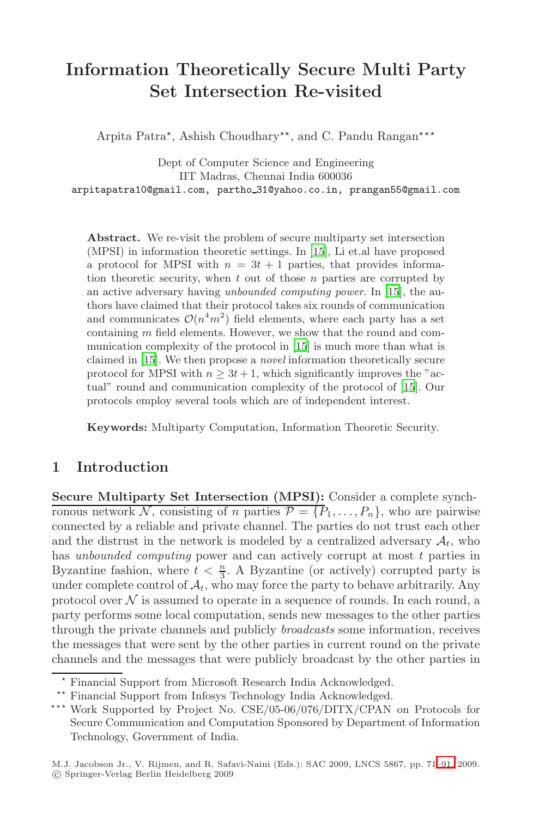# **Information Theoretically Secure Multi Party Set Intersection Re-visited**

Arpita Patra\*, Ashis[h C](#page-19-0)houdhary\*\*, and C. Pandu Rangan\*\*\*

Dept of Computer Science and Engineering IIT Madras, Chenna[i In](#page-19-0)dia 600036 arpitapatra10@gmail.com, partho 31@yahoo.co.in, prangan55@gmail.com

**Abstract.** We re-vi[sit](#page-19-0) [t](#page-19-0)he problem of secure multiparty set intersection (MPSI) in information theoretic settings. In [15], Li et.al have proposed a protocol for MPSI with  $n = 3t + 1$  pa[rtie](#page-19-0)s, that provides information theoretic security, when  $t$  out of those  $n$  parties are corrupted by an active adversary having *unbounded computing power*. In [15], the authors have claimed that their protocol takes six rounds of communication and communicates  $\mathcal{O}(n^4m^2)$  field elements, where each party has a set containing m field elements. However, we show that the round and communication complexity of the protocol in [15] is much more than what is claimed in [15]. We then propose a *novel* information theoretically secure protocol for MPSI with  $n \geq 3t + 1$ , which significantly improves the "actual" round and communication complexity of the protocol of [15]. Our protocols employ several tools which are of independent interest.

**Keywords:** Multiparty Computation, Information Theoretic Security.

# **1 Introduction**

**Secure Multiparty Set Intersection (MPSI):** Consider a complete synchronous network N, consisting of n parties  $\mathcal{P} = \{P_1, \ldots, P_n\}$ , who are pairwise connected by a reliable and private channel. The parties do not trust each other and the distrust in the network is modeled by a centralized adversary  $A_t$ , who has *unbounded computing* power and can actively corrupt at most t parties in Byzantine fashion, where  $t < \frac{n}{3}$ . A Byzantine (or actively) corrupted party is under complete control of  $\mathcal{A}_t$ , who may force the party to behave arbitrarily. Any protocol over  $N$  is assumed to operate in a sequence of rounds. In each round, a party performs some local computation, sends new messages to the other parties through the private channels and publicly *broadcasts* some information, receives the messages that were sent by the other parties in c[urre](#page-20-0)nt round on the private channels and the messages that were publicly broadcast by the other parties in

Financial Support from Microsoft Research India Acknowledged.

<sup>\*\*</sup> Financial Support from Infosys Technology India Acknowledged.

<sup>\*\*\*</sup> Work Supported by Project No. CSE/05-06/076/DITX/CPAN on Protocols for Secure Communication and Computation Sponsored by Department of Information Technology, Government of India.

M.J. Jacobson Jr., V. Rijmen, and R. Safavi-Naini (Eds.): SAC 2009, LNCS 5867, pp. 71–91, 2009. c Springer-Verlag Berlin Heidelberg 2009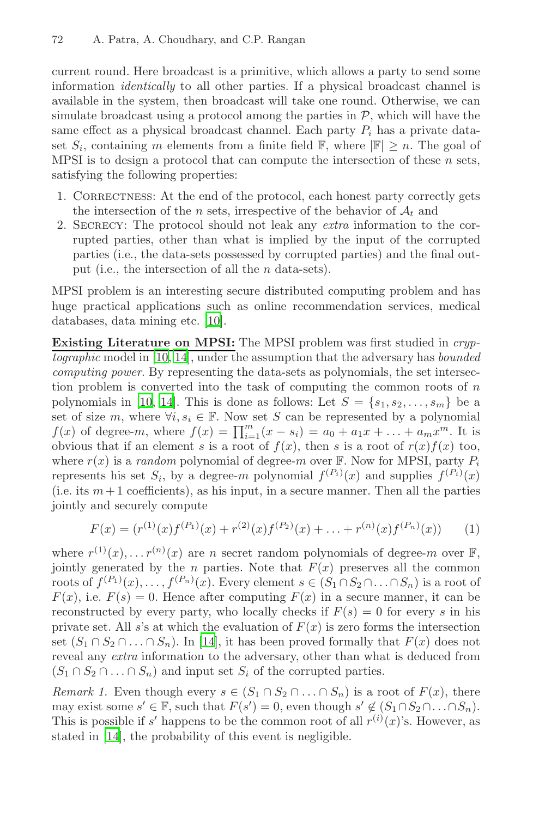current round. Here broadcast is a primitive, which allows a party to send some information *identically* to all other parties. If a physical broadcast channel is available in the system, then broadcast will take one round. Otherwise, we can simulate broadcast using a protocol among the parties in  $P$ , which will have the same effect as a physical broadcast channel. Each party  $P_i$  has a private dataset  $S_i$ , containing m elements from a finite field F, where  $|\mathbb{F}| \geq n$ . The goal of MPSI is to design a protocol that can compute the intersection of these  $n$  sets, satisfying the following properties:

- 1. CORRECTNESS: At the end of the protocol, each honest party correctly gets the in[ter](#page-19-1)section of the n sets, irrespective of the behavior of  $A_t$  and
- 2. Secrecy: The protocol should not leak any *extra* information to the cor[rup](#page-19-2)ted parties, other than what is implied by the input of the corrupted parties (i.e., the data-sets possessed by corrupted parties) and the final output (i.e., the intersection of all the n data-sets).

[MP](#page-19-2)SI problem is an interesting secure distributed computing problem and has huge practical applications such as online recommendation services, medical databases, data mining etc. [10].

<span id="page-1-1"></span>**Existing Literature on MPSI:** The MPSI problem was first studied in *cryptographic* model in [10, 14], under the assumption that the adversary has *bounded computing power*. By representing the data-sets as polynomials, the set intersection problem is converted into the task of computing the common roots of  $n$ polynomials in [10, 14]. This is done as follows: Let  $S = \{s_1, s_2, \ldots, s_m\}$  be a set of size m, where  $\forall i, s_i \in \mathbb{F}$ . Now set S can be represented by a polynomial  $f(x)$  of degree-m, where  $f(x) = \prod_{i=1}^{m} (x - s_i) = a_0 + a_1 x + ... + a_m x^m$ . It is obvious that if an element s is a root of  $f(x)$ , then s is a root of  $r(x)f(x)$  too, where  $r(x)$  is a *random* polynomial of degree-m over  $\mathbb F$ . Now for MPSI, party  $P_i$ represents his set  $S_i$ , by a degree-m polynomial  $f^{(P_i)}(x)$  and supplies  $f^{(P_i)}(x)$ (i.e. its  $m+1$  coefficients), as his input, in a secure manner. Then all the parties jointly and securely compute

<span id="page-1-0"></span>
$$
F(x) = (r^{(1)}(x)f^{(P_1)}(x) + r^{(2)}(x)f^{(P_2)}(x) + \ldots + r^{(n)}(x)f^{(P_n)}(x)) \tag{1}
$$

where  $r^{(1)}(x), \ldots r^{(n)}(x)$  are n secret random polynomials of degree-m over  $\mathbb{F}$ , jointly generated by the *n* parties. Note that  $F(x)$  preserves all the common roots of  $f^{(P_1)}(x),\ldots,f^{(P_n)}(x)$ . Every element  $s \in (S_1 \cap S_2 \cap \ldots \cap S_n)$  is a root of  $F(x)$ , i.e.  $F(s) = 0$ . Hence after computing  $F(x)$  in a secure manner, it can be reconstructed by every party, who locally checks if  $F(s) = 0$  for every s in his private set. All s's at which the evaluation of  $F(x)$  is zero forms the intersection set  $(S_1 \cap S_2 \cap \ldots \cap S_n)$ . In [14], it has been proved formally that  $F(x)$  does not reveal any *extra* information to the adversary, other than what is deduced from  $(S_1 \cap S_2 \cap \ldots \cap S_n)$  and input set  $S_i$  of the corrupted parties.

*Remark 1.* Even though every  $s \in (S_1 \cap S_2 \cap \ldots \cap S_n)$  is a root of  $F(x)$ , there may exist some  $s' \in \mathbb{F}$ , such that  $F(s') = 0$ , even though  $s' \notin (S_1 \cap S_2 \cap \ldots \cap S_n)$ . This is possible if s' happens to be the common root of all  $r^{(i)}(x)$ 's. However, as stated in [14], the probability of this event is negligible.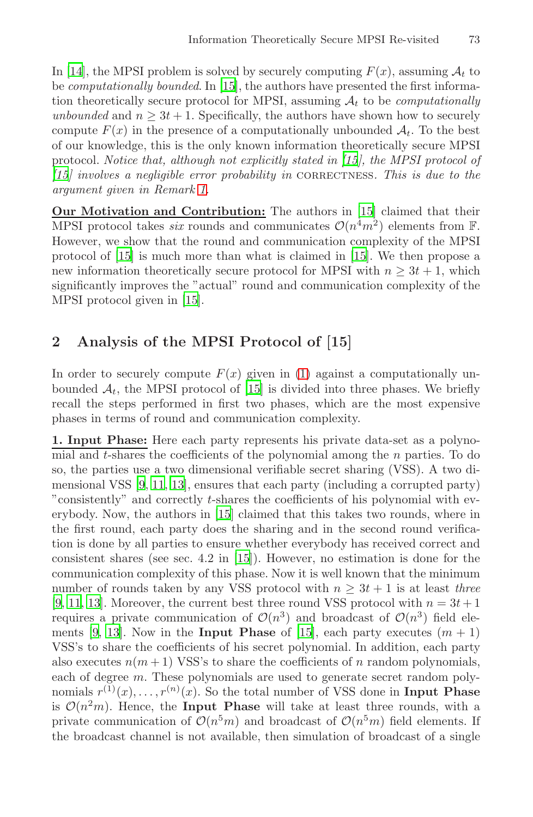In [14], [the](#page-1-0) MPSI problem is solved by securely computing  $F(x)$ , assuming  $\mathcal{A}_t$  to be *computationally bounded*. In [15], the authors have presented the first informa-tion theoretically secure protocol for [MP](#page-19-0)SI, assuming  $A_t$  to be *computationally unbounded* and  $n \geq 3t + 1$ . Specifically, the authors have shown how to securely compute  $F(x)$  in the presence of a computationally unbounded  $A_t$ . To the best of our knowledge, this is the only kn[own](#page-19-0) information theoretically secure MPSI protocol. *Notice that, although not explicitly stated in [15], the MPSI protocol of [15] involves a negligible error probability in* correctness*. This is due to the argu[men](#page-19-0)t given in Remark 1.*

**Our Motivation and Contribution:** The authors in [15] claimed that their MPSI protocol takes *six* rounds and communicates  $\mathcal{O}(n^4m^2)$  elements from F. However, we show that the round and communication complexity of the MPSI protocol of [15] is much m[or](#page-1-1)e than what is claimed in [15]. We then propose a new information [the](#page-19-0)oretically secure protocol for MPSI with  $n \geq 3t + 1$ , which significantly improves the "actual" round and communication complexity of the MPSI protocol given in [15].

# **2 Analysis of the MPSI Protocol of [15]**

[In](#page-19-3) [ord](#page-19-4)er to securely compute  $F(x)$  given in (1) against a computationally unbounded  $\mathcal{A}_t$ , the MPSI protocol of [15] is divided into three phases. We briefly recall the s[tep](#page-19-0)s performed in first two phases, which are the most expensive phases in terms of round and communication complexity.

**1. Input Pha[se:](#page-19-0)** Here each party represents his private data-set as a polynomial and t-shares the coefficients of the polynomial among the n parties. To do so, the parties use a two dimensional verifiable secret sharing (VSS). A two dimensional VSS [9, 11, 13], ensures that each party (including a corrupted party) "consistently" and correctly t-shares the coefficients of his polynomial with everybody. Now, the authors [in](#page-19-0) [15] claimed that this takes two rounds, where in the first round, each party does the sharing and in the second round verification is done by all parties to ensure whether everybody has received correct and consistent shares (see sec. 4.2 in [15]). However, no estimation is done for the communication complexity of this phase. Now it is well known that the minimum number of rounds taken by any VSS protocol with  $n \geq 3t + 1$  is at least *three* [9, 11, 13]. Moreover, the current best three round VSS protocol with  $n = 3t + 1$ requires a private communication of  $\mathcal{O}(n^3)$  and broadcast of  $\mathcal{O}(n^3)$  field elements [9, 13]. Now in the **Input Phase** of [15], each party executes  $(m + 1)$ VSS's to share the coefficients of his secret polynomial. In addition, each party also executes  $n(m+1)$  VSS's to share the coefficients of n random polynomials, each of degree m. These polynomials are used to generate secret random polynomials  $r^{(1)}(x), \ldots, r^{(n)}(x)$ . So the total number of VSS done in **Input Phase** is  $\mathcal{O}(n^2m)$ . Hence, the **Input Phase** will take at least three rounds, with a private communication of  $\mathcal{O}(n^5m)$  and broadcast of  $\mathcal{O}(n^5m)$  field elements. If the broadcast channel is not available, then simulation of broadcast of a single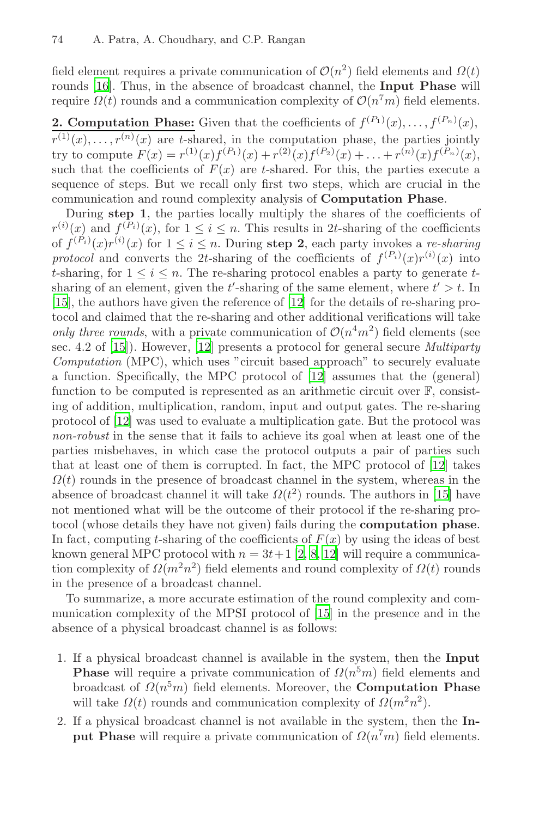field element requires a private communication of  $\mathcal{O}(n^2)$  field elements and  $\Omega(t)$ rounds [16]. Thus, in the absence of broadcast channel, the **Input Phase** will require  $\Omega(t)$  rounds and a communication complexity of  $\mathcal{O}(n^7m)$  field elements.

**2. Computation Phase:** Given that the coefficients of  $f^{(P_1)}(x), \ldots, f^{(P_n)}(x)$ ,  $r^{(1)}(x),\ldots,r^{(n)}(x)$  are t-shared, in the computation phase, the parties jointly try to compute  $F(x) = r^{(1)}(x) f^{(P_1)}(x) + r^{(2)}(x) f^{(P_2)}(x) + \ldots + r^{(n)}(x) f^{(P_n)}(x)$ . such that the coefficients of  $F(x)$  are t-shared. For this, the parties execute a sequence of steps. But [we r](#page-19-5)ecall only first two steps, which are crucial in the communication and round complexity analysis of **Computation Phase**.

During **step 1**, the parties locally multiply the shares of the coefficients of  $r^{(i)}(x)$  [and](#page-19-5)  $f^{(P_i)}(x)$ , for  $1 \leq i \leq n$ . This results in 2t-sharing of the coefficients of  $f^{(P_i)}(x)r^{(i)}(x)$  for  $1 \leq i \leq n$ . During **step 2**, each party invokes a *re-sharing protocol* and converts the 2t[-sh](#page-19-5)aring of the coefficients of  $f^{(P_i)}(x)r^{(i)}(x)$  into t-sharing, for  $1 \leq i \leq n$ . The re-sharing protocol enables a party to generate tsharing of an element, given the  $t'$ -sharing of the same element, where  $t' > t$ . In [15], the authors have given the reference of [12] for the details of re-sharing protocol and claimed that the re-sharing and other additional verifications will take *only three rounds*, with a private communication of  $O(n^4m^2)$  field elements (see sec. 4.2 of [15]). However, [12] presents a protocol [for](#page-19-5) general secure *Multiparty Computation* (MPC), which uses "circuit based approach" to securely evaluate a function. Specifically, the MPC protocol of [12] [ass](#page-19-0)umes that the (general) function to be computed is represented as an arithmetic circuit over  $\mathbb{F}$ , consisting of addition, multiplication, random, input and output gates. The re-sharing protocol of [12] was used to evaluate a multiplication gate. But the protocol was *non-robust* in the sense th[at](#page-19-6) [it](#page-19-7) [fai](#page-19-5)ls to achieve its goal when at least one of the parties misbehaves, in which case the protocol outputs a pair of parties such that at least one of them is corrupted. In fact, the MPC protocol of [12] takes  $\Omega(t)$  rounds in the presence of broadcast channel in the system, whereas in the absence of broadcast channel [it w](#page-19-0)ill take  $\Omega(t^2)$  rounds. The authors in [15] have not mentioned what will be the outcome of their protocol if the re-sharing protocol (whose details they have not given) fails during the **computation phase**. In fact, computing t-sharing of the coefficients of  $F(x)$  by using the ideas of best known general MPC protocol with  $n = 3t + 1$  [2, 8, 12] will require a communication complexity of  $\Omega(m^2n^2)$  field elements and round complexity of  $\Omega(t)$  rounds in the presence of a broadcast channel.

To summarize, a more accurate estimation of the round complexity and communication complexity of the MPSI protocol of [15] in the presence and in the absence of a physical broadcast channel is as follows:

- 1. If a physical broadcast channel is available in the system, then the **Input Phase** will require a private communication of  $\Omega(n^5m)$  field elements and broadcast of  $\Omega(n^5m)$  field elements. Moreover, the **Computation Phase** will take  $\Omega(t)$  rounds and communication complexity of  $\Omega(m^2n^2)$ .
- 2. If a physical broadcast channel is not available in the system, then the **Input Phase** will require a private communication of  $\Omega(n^7m)$  field elements.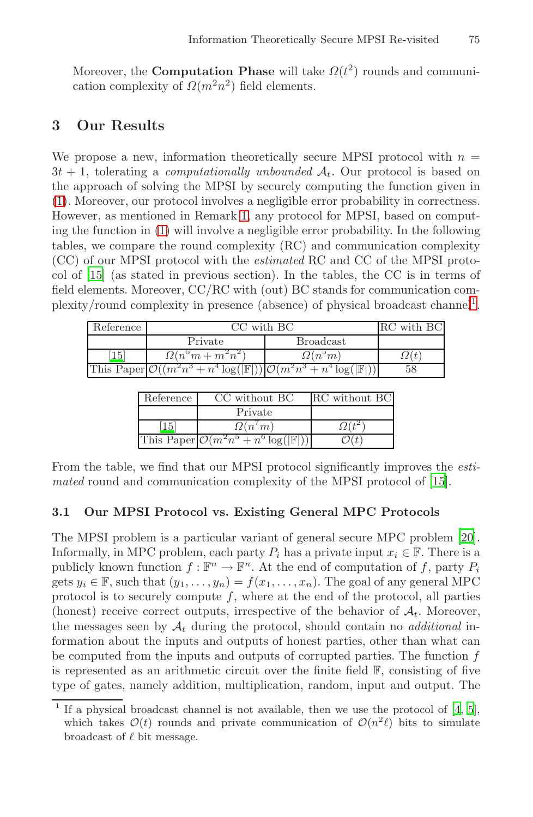Moreover, the **Computation Phase** will take  $\Omega(t^2)$  rounds and communication complexity of  $\Omega(m^2n^2)$  field elements.

### **[3](#page-1-1) Our Results**

We propose a new, information theoretically secure MPSI protocol with  $n =$  $3t + 1$ , tolerating a *computationally unbounded*  $A_t$ . Our protocol is based on the approach of solving the MPSI by securely computing [th](#page-4-0)e function given in (1). Moreover, our protocol involves a negligible error probability in correctness. However, as mentioned in Remark 1, any protocol for MPSI, based on computing the function in (1) will involve a negligible error probability. In the following tables, we compare the round complexity (RC) and communication complexity (CC) of our MPSI protocol with the *estimated* RC and CC of the MPSI protocol of [15] (as stated in previous section). In the tables, the CC is in terms of field elements. Moreover, CC/RC with (out) BC stands for communication complexity/round complexity in presence (absence) of physical broadcast channel<sup>1</sup>.

| Reference       | CC with BC                                                                                            |                     | RC with BC  |
|-----------------|-------------------------------------------------------------------------------------------------------|---------------------|-------------|
|                 | Private                                                                                               | <b>Broadcast</b>    |             |
| 15 <sup>1</sup> | $\Omega(n^{\circ}m + m^2n^2)$                                                                         | $\Omega(n^\circ m)$ | $\Omega(t)$ |
|                 | This Paper $\mathcal{O}((m^2n^3 + n^4\log( \mathbb{F} )) \mathcal{O}(m^2n^3 + n^4\log( \mathbb{F} ))$ |                     | 58          |

| Reference | CC without BC                                          | RC without BC |
|-----------|--------------------------------------------------------|---------------|
|           | Private                                                |               |
| 15        | $\Omega(n^m)$                                          |               |
|           | This Paper $\mathcal{O}(m^2n^5+n^6\log( \mathbb{F} ))$ |               |

From the table, we find that our MPSI protocol significantly improves the *estimated* round and communication complexity of the MPSI protocol of [15].

#### **3.1 Our MPSI Protocol vs. Existing General MPC Protocols**

<span id="page-4-0"></span>The MPSI problem is a particular variant of general secure MPC problem [20]. Informally, in MPC problem, each party  $P_i$  has a private input  $x_i \in \mathbb{F}$ . There is a publicly known function  $f : \mathbb{F}^n \to \mathbb{F}^n$ . At the end of computation of f, party  $P_i$ gets  $y_i \in \mathbb{F}$ , such that  $(y_1, \ldots, y_n) = f(x_1, \ldots, x_n)$ . The goal of any general MPC protocol is to s[e](#page-19-9)curely compute  $f$ , where at [th](#page-19-8)e end of the protocol, all parties (honest) receive correct outputs, irrespective of the behavior of  $\mathcal{A}_t$ . Moreover, the messages seen by  $A_t$  during the protocol, should contain no *additional* information about the inputs and outputs of honest parties, other than what can be computed from the inputs and outputs of corrupted parties. The function f is represented as an arithmetic circuit over the finite field  $\mathbb{F}$ , consisting of five type of gates, namely addition, multiplication, random, input and output. The

If a physical broadcast channel is not available, then we use the protocol of  $[4, 5]$ , which takes  $\mathcal{O}(t)$  rounds and private communication of  $\mathcal{O}(n^2\ell)$  bits to simulate broadcast of  $\ell$  bit message.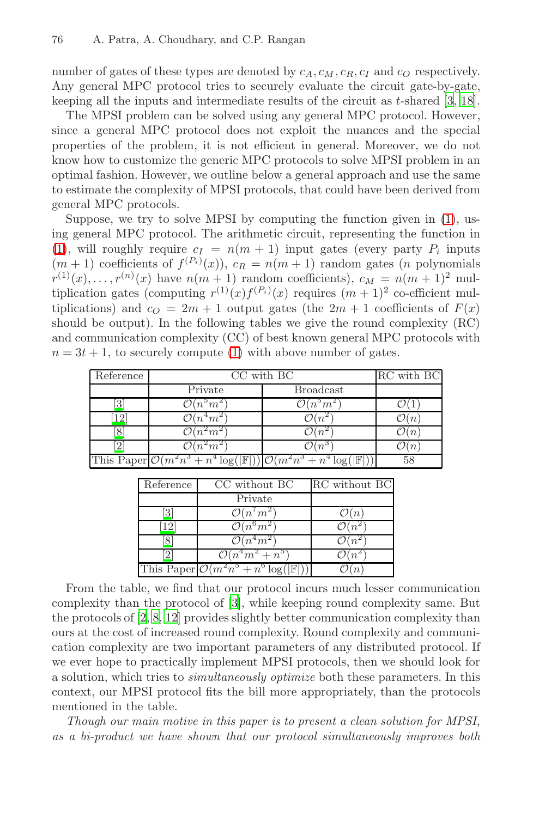number of gates of these types are denoted by  $c_A, c_M, c_R, c_I$  and  $c_O$  respectively. Any general MPC protocol tries to securely evaluate the circuit gate-by-gate, keeping all the inputs and intermediate results of the [ci](#page-1-1)rcuit as t-shared [3, 18].

The MPSI problem can be solved using any general MPC protocol. However, since a general MPC protocol does not exploit the nuances and the special properties of the problem, it is not efficient in general. Moreover, we do not know how to customize the generic MPC protocols to solve MPSI problem in an optimal fashion. However, we outline below a general approach and use the same to estimate the complexity of MPSI protocols, that could have been derived from general MPC protocols.

Suppose, we try to solve MPSI by computing the function given in (1), using general M[PC](#page-1-1) protocol. The arithmetic circuit, representing the function in (1), will roughly require  $c_I = n(m + 1)$  input gates (every party  $P_i$  inputs  $(m+1)$  coefficients of  $f^{(P_i)}(x)$ ,  $c_R = n(m+1)$  random gates (*n* polynomials  $r^{(1)}(x),\ldots,r^{(n)}(x)$  have  $n(m + 1)$  random coefficients),  $c_M = n(m + 1)^2$  multiplication gates (computing  $r^{(1)}(x)f^{(P_i)}(x)$  requires  $(m+1)^2$  co-efficient multiplications) and  $c_0 = 2m + 1$  output gates (the  $2m + 1$  coefficients of  $F(x)$ should be output). In the following tables we give the round complexity (RC) and communication complexity (CC) of best known general MPC protocols with  $n = 3t + 1$ , to securely compute (1) with above number of gates.

| Reference | CC with BC                                                                                           |                                  | RC with BC      |
|-----------|------------------------------------------------------------------------------------------------------|----------------------------------|-----------------|
|           | Private                                                                                              | <b>Broadcast</b>                 |                 |
| 3         | $\mathcal{O}(n^5m^2)$                                                                                | $\overline{\mathcal{O}(n^5m^2)}$ |                 |
| 12        | $n^4m$                                                                                               |                                  | $\it{n}$        |
| 8         | $n^2m$                                                                                               |                                  | $^{\prime}$ $n$ |
|           | $n^2m$                                                                                               |                                  | $n_{\rm}$       |
|           | This Paper $\mathcal{O}(m^2n^3 + n^4\log( \mathbb{F} )) \mathcal{O}(m^2n^3 + n^4\log( \mathbb{F} ))$ |                                  |                 |

| Reference | CC without BC                                          | RC without BC    |
|-----------|--------------------------------------------------------|------------------|
|           | Private                                                |                  |
|           | $\mathcal{O}(n^7m^2)$                                  | $\mathcal{O}(n)$ |
| 12        | $O(n^6m^2)$                                            |                  |
|           | $\mathcal{O}(n^4m^2)$                                  |                  |
|           | $\mathcal{O}(n^4m^2+n^5)$                              |                  |
|           | This Paper $\mathcal{O}(m^2n^5+n^6\log( \mathbb{F} ))$ |                  |

From the table, we find that our protocol incurs much lesser communication complexity than the protocol of [3], while keeping round complexity same. But the protocols of [2, 8, 12] provides slightly better communication complexity than ours at the cost of increased round complexity. Round complexity and communication complexity are two important parameters of any distributed protocol. If we ever hope to practically implement MPSI protocols, then we should look for a solution, which tries to *simultaneously optimize* both these parameters. In this context, our MPSI protocol fits the bill more appropriately, than the protocols mentioned in the table.

*Though our main motive in this paper is to present a clean solution for MPSI, as a bi-product we have shown that our protocol simultaneously improves both*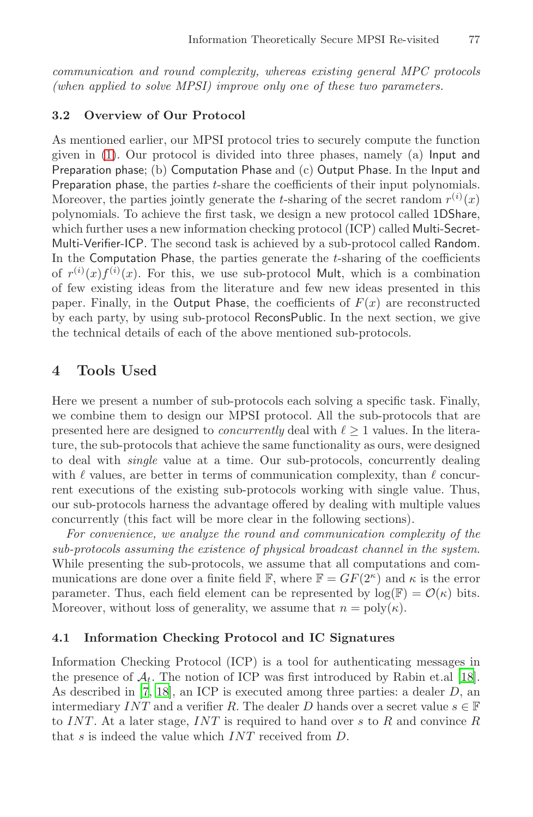*communication and round complexity, whereas existing general MPC protocols (when applied to solve MPSI) improve only one of these two parameters.*

#### **3.2 Overview of Our Protocol**

As mentioned earlier, our MPSI protocol tries to securely compute the function given in (1). Our protocol is divided into three phases, namely (a) Input and Preparation phase; (b) Computation Phase and (c) Output Phase. In the Input and Preparation phase, the parties t-share the coefficients of their input polynomials. Moreover, the parties jointly generate the *t*-sharing of the secret random  $r^{(i)}(x)$ polynomials. To achieve the first task, we design a new protocol called 1DShare, which further uses a new information checking protocol (ICP) called Multi-Secret-Multi-Verifier-ICP. The second task is achieved by a sub-protocol called Random. In the Computation Phase, the parties generate the  $t$ -sharing of the coefficients of  $r^{(i)}(x)f^{(i)}(x)$ . For this, we use sub-protocol Mult, which is a combination of few existing ideas from the literature and few new ideas presented in this paper. Finally, in the Output Phase, the coefficients of  $F(x)$  are reconstructed by each party, by using sub-protocol ReconsPublic. In the next section, we give the technical details of each of the above mentioned sub-protocols.

# **4 Tools Used**

Here we present a number of sub-protocols each solving a specific task. Finally, we combine them to design our MPSI protocol. All the sub-protocols that are presented here are designed to *concurrently* deal with  $\ell \geq 1$  values. In the literature, the sub-protocols that achieve the same functionality as ours, were designed to deal with *single* value at a time. Our sub-protocols, concurrently dealing with  $\ell$  values, are better in terms of communication complexity, than  $\ell$  concurrent executions of the existing sub-protocols working with single value. Thus, our sub-protocols harness the advantage offered by dealing with multiple values concurrently (this fact will be more clear in the following sections).

*For convenience, we analyze the round and communication complexity of the sub-protocols assuming the existence of physical broadcast channel in the system*. While presenting the sub-protocols, we assume that all [com](#page-20-2)putations and com[mu](#page-20-2)nications are done over a finite field  $\mathbb{F}$ , where  $\mathbb{F} = GF(2^{\kappa})$  and  $\kappa$  is the error parameter. Thus, each field element can be represented by  $log(\mathbb{F}) = \mathcal{O}(\kappa)$  bits. Moreover, without loss of generality, we assume that  $n = \text{poly}(\kappa)$ .

### **4.1 Information Checking Protocol and IC Signatures**

Information Checking Protocol (ICP) is a tool for authenticating messages in the presence of  $\mathcal{A}_t$ . The notion of ICP was first introduced by Rabin et.al [18]. As described in [7, 18], an ICP is executed among three parties: a dealer D, an intermediary INT and a verifier R. The dealer D hands over a secret value  $s \in \mathbb{F}$ to INT. At a later stage, INT is required to hand over s to  $R$  and convince  $R$ that s is indeed the value which INT received from D.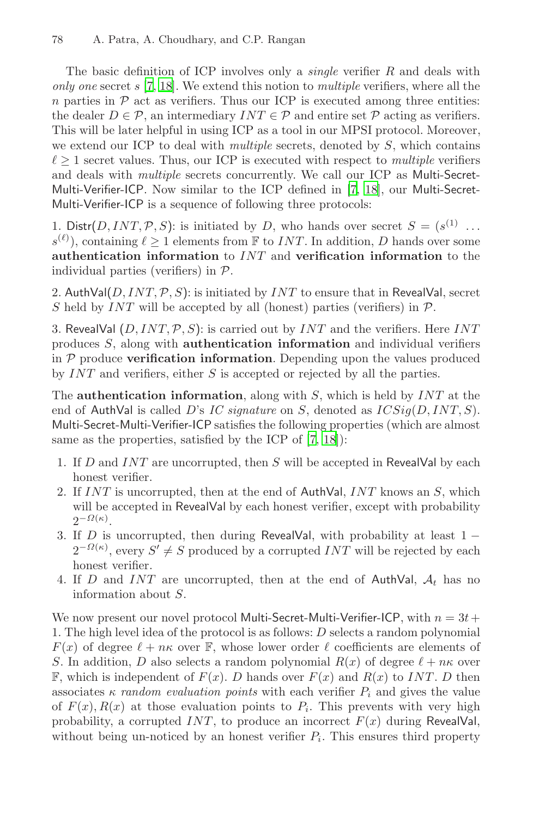The basic definition of ICP invo[lve](#page-19-10)[s on](#page-20-2)ly a *single* verifier R and deals with *only one* secret s [7, 18]. We extend this notion to *multiple* verifiers, where all the n parties in  $P$  act as verifiers. Thus our ICP is executed among three entities: the dealer  $D \in \mathcal{P}$ , an intermediary  $INT \in \mathcal{P}$  and entire set  $\mathcal{P}$  acting as verifiers. This will be later helpful in using ICP as a tool in our MPSI protocol. Moreover, we extend our ICP to deal with *multiple* secrets, denoted by S, which contains  $\ell \geq 1$  secret values. Thus, our ICP is executed with respect to *multiple* verifiers and deals with *multiple* secrets concurrently. We call our ICP as Multi-Secret-Multi-Verifier-ICP. Now similar to the ICP defined in [7, 18], our Multi-Secret-Multi-Verifier-ICP is a sequence of following three protocols:

1. Distr(D, INT, P, S): is initiated by D, who hands over secret  $S = (s^{(1)} \dots$  $s^{(\ell)}$ , containing  $\ell \geq 1$  elements from F to *INT*. In addition, D hands over some **authentication information** to INT and **verification information** to the individual parties (verifiers) in  $P$ .

2. AuthVal( $D, INT, \mathcal{P}, S$ ): is initiated by  $INT$  to ensure that in RevealVal, secret S held by  $INT$  will be accepted by all (honest) parties (verifiers) in  $P$ .

3. RevealVal  $(D, INT, P, S)$ : [is](#page-19-10) [car](#page-20-2)ried out by *INT* and the verifiers. Here *INT* produces S, along with **authentication information** and individual verifiers in P produce **verification information**. Depending upon the values produced by INT and verifiers, either S is accepted or rejected by all the parties.

The **authentication information**, along with S, which is held by INT at the end of AuthVal is called D's *IC signature* on S, denoted as ICSig(D, INT, S). Multi-Secret-Multi-Verifier-ICP satisfies the following properties (which are almost same as the properties, satisfied by the ICP of [7, 18]):

- 1. If D and INT are uncorrupted, then S will be accepted in RevealVal by each honest verifier.
- 2. If  $INT$  is uncorrupted, then at the end of AuthVal,  $INT$  knows an  $S$ , which will be accepted in RevealVal by each honest verifier, except with probability  $2^{-\Omega(\kappa)}$ .
- 3. If D is uncorrupted, then during RevealVal, with probability at least  $1 2^{-\Omega(\kappa)}$ , every  $S' \neq S$  produced by a corrupted  $INT$  will be rejected by each honest verifier.
- 4. If D and INT are uncorrupted, then at the end of AuthVal,  $A_t$  has no information about S.

We now present our novel protocol Multi-Secret-Multi-Verifier-ICP, with  $n = 3t +$ 1. The high level idea of the protocol is as follows: D selects a random polynomial  $F(x)$  of degree  $\ell + n\kappa$  over  $\mathbb{F}$ , whose lower order  $\ell$  coefficients are elements of S. In addition, D also selects a random polynomial  $R(x)$  of degree  $\ell + n\kappa$  over  $\mathbb{F}$ , which is independent of  $F(x)$ . D hands over  $F(x)$  and  $R(x)$  to INT. D then associates  $\kappa$  *random evaluation points* with each verifier  $P_i$  and gives the value of  $F(x)$ ,  $R(x)$  at those evaluation points to  $P_i$ . This prevents with very high probability, a corrupted  $INT$ , to produce an incorrect  $F(x)$  during RevealVal, without being un-noticed by an honest verifier  $P_i$ . This ensures third property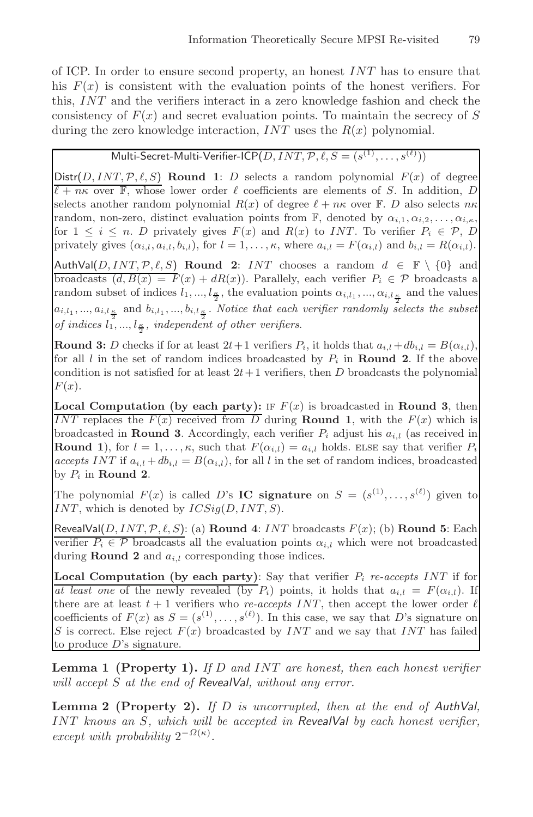of ICP. In order to ensure second property, an honest  $INT$  has to ensure that his  $F(x)$  is consistent with the evaluation points of the honest verifiers. For this, INT and the verifiers interact in a zero knowledge fashion and check the consistency of  $F(x)$  and secret evaluation points. To maintain the secrecy of S during the zero knowledge interaction,  $INT$  uses the  $R(x)$  polynomial.

# Multi-Secret-Multi-Verifier-ICP $(D, INT, \mathcal{P}, \ell, S = (s^{(1)}, \ldots, s^{(\ell)}))$

 $Dist(D, INT, P, \ell, S)$  **Round 1**: D selects a random polynomial  $F(x)$  of degree  $\ell + n\kappa$  over  $\mathbb{F}$ , whose lower order  $\ell$  coefficients are elements of S. In addition, D selects another random polynomial  $R(x)$  of degree  $\ell + n\kappa$  over  $\mathbb{F}$ . D also selects  $n\kappa$ random, non-zero, distinct evaluation points from  $\mathbb{F}$ , denoted by  $\alpha_{i,1}, \alpha_{i,2}, \ldots, \alpha_{i,\kappa}$ , for  $1 \leq i \leq n$ . D privately gives  $F(x)$  and  $R(x)$  to INT. To verifier  $P_i \in \mathcal{P}, D$ privately gives  $(\alpha_{i,l}, a_{i,l}, b_{i,l})$ , for  $l = 1, \ldots, \kappa$ , where  $a_{i,l} = F(\alpha_{i,l})$  and  $b_{i,l} = R(\alpha_{i,l})$ .

AuthVal( $D, INT, P, \ell, S$ ) **Round 2**: *INT* chooses a random  $d \in \mathbb{F} \setminus \{0\}$  and broadcasts  $(d, B(x) = F(x) + dR(x))$ . Parallely, each verifier  $P_i \in \mathcal{P}$  broadcasts a random subset of indices  $l_1, ..., l_{\frac{\kappa}{2}}$ , the evaluation points  $\alpha_{i,l_1}, ..., \alpha_{i,l_{\frac{\kappa}{2}}}$  and the values  $a_{i,l_1},...,a_{i,l_{\frac{\kappa}{2}}}$  and  $b_{i,l_1},...,b_{i,l_{\frac{\kappa}{2}}}$ . *Notice that each verifier randomly selects the subset* of indices  $l_1^{\frac{2}{2}}$ ,  $\ldots$ ,  $l_{\frac{\kappa}{2}}$ , independent of other verifiers.

**Round 3:** D checks if for at least  $2t+1$  verifiers  $P_i$ , it holds that  $a_{i,l} + db_{i,l} = B(\alpha_{i,l}),$ for all  $l$  in the set of random indices broadcasted by  $P_i$  in **Round 2**. If the above condition is not satisfied for at least  $2t+1$  verifiers, then D broadcasts the polynomial  $F(x)$ .

**Local Computation (by each party):** IF  $F(x)$  is broadcasted in **Round 3**, then INT replaces the  $F(x)$  received from D during **Round 1**, with the  $F(x)$  which is broadcasted in **Round 3**. Accordingly, each verifier  $P_i$  adjust his  $a_{i,l}$  (as received in **Round 1**), for  $l = 1, ..., \kappa$ , such that  $F(\alpha_{i,l}) = a_{i,l}$  holds. ELSE say that verifier  $P_i$ *accepts* INT if  $a_{i,l} + db_{i,l} = B(\alpha_{i,l})$ , for all l in the set of random indices, broadcasted by  $P_i$  in **Round 2**.

The polynomial  $F(x)$  is called D's **IC signature** on  $S = (s^{(1)}, \ldots, s^{(\ell)})$  given to INT, which is denoted by  $ICSig(D, INT, S)$ .

 $RecalVal(D, INT, P, \ell, S)$ : (a) **Round 4**: *INT* broadcasts  $F(x)$ ; (b) **Round 5**: Each verifier  $P_i \in \mathcal{P}$  broadcasts all the evaluation points  $\alpha_{i,l}$  which were not broadcasted during **Round 2** and  $a_{i,l}$  corresponding those indices.

**Local Computation (by each party)**: Say that verifier P<sup>i</sup> *re-accepts* INT if for *at least one* of the newly revealed (by  $P_i$ ) points, it holds that  $a_{i,l} = F(\alpha_{i,l})$ . If there are at least  $t + 1$  verifiers who *re-accepts INT*, then accept the lower order  $\ell$ coefficients of  $F(x)$  as  $S = (s^{(1)}, \ldots, s^{(\ell)})$ . In this case, we say that D's signature on S is correct. Else reject  $F(x)$  broadcasted by  $INT$  and we say that  $INT$  has failed to produce  $D$ 's signature.

**Lemma 1 (Property 1).** *If* D *and* INT *are honest, then each honest verifier will accept* S *at the end of RevealVal, without any error.*

**Lemma 2 (Property 2).** *If* D *is uncorrupted, then at the end of AuthVal,* INT *knows an* S*, which will be accepted in RevealVal by each honest verifier, except with probability*  $2^{-\Omega(\kappa)}$ *.*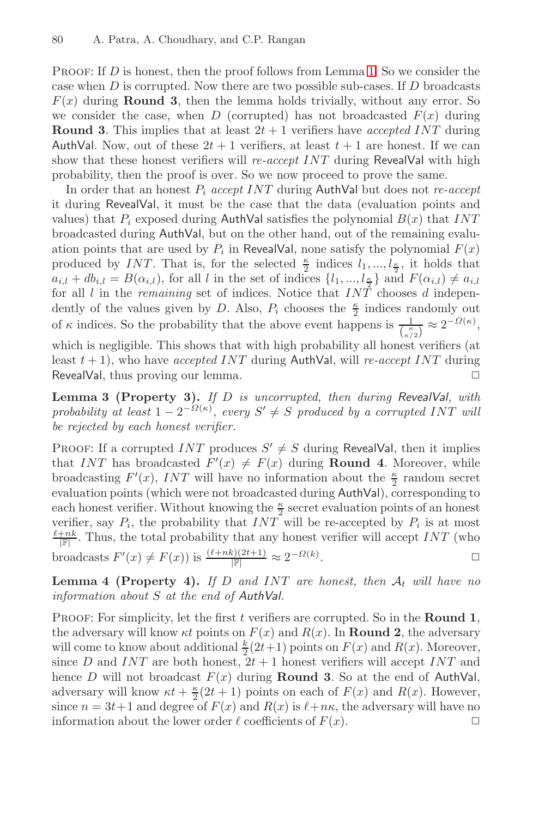PROOF: If  $D$  is honest, then the proof follows from Lemma 1. So we consider the case when  $D$  is corrupted. Now there are two possible sub-cases. If  $D$  broadcasts  $F(x)$  during **Round 3**, then the lemma holds trivially, without any error. So we consider the case, when D (corrupted) has not broadcasted  $F(x)$  during **Round 3**. This implies that at least  $2t + 1$  verifiers have *accepted INT* during AuthVal. Now, out of these  $2t + 1$  verifiers, at least  $t + 1$  are honest. If we can show that these honest verifiers will *re-accept* INT during RevealVal with high probability, then the proof is over. So we now proceed to prove the same.

In order that an honest P<sup>i</sup> *accept* INT during AuthVal but does not *re-accept* it during RevealVal, it must be the case that the data (evaluation points and values) that  $P_i$  exposed during AuthVal satisfies the polynomial  $B(x)$  that INT broadcasted during AuthVal, but on the other hand, out of the remaining evaluation points that are used by  $P_i$  in RevealVal, none satisfy the polynomial  $F(x)$ produced by INT. That is, for the selected  $\frac{\kappa}{2}$  indices  $l_1, ..., l_{\frac{\kappa}{2}}$ , it holds that  $a_{i,l} + db_{i,l} = B(\alpha_{i,l})$ , for all l in the set of indices  $\{l_1, ..., l_{\frac{\kappa}{2}}\}$  and  $F(\alpha_{i,l}) \neq a_{i,l}$ for all  $l$  in the *remaining* set of indices. Notice that  $IN\tilde{T}$  chooses  $d$  independently of the values given by D. Also,  $P_i$  chooses the  $\frac{\kappa}{2}$  indices randomly out of  $\kappa$  indices. So the probability that the above event happens is  $\frac{1}{\binom{\kappa}{\kappa/2}} \approx 2^{-\Omega(\kappa)}$ ,

which is negligible. This shows that with high probability all honest verifiers (at least t + 1), who have *accepted* INT during AuthVal, will *re-accept* INT during RevealVal, thus proving our lemma.  $\Box$ 

**Lemma 3 (Property 3).** *If* D *is uncorrupted, then during RevealVal, with probability* at least  $1 - 2^{-\Omega(\kappa)}$ , every  $S' \neq S$  produced by a corrupted INT will *be rejected by each honest verifier.*

PROOF: If a corrupted INT produces  $S' \neq S$  during RevealVal, then it implies that INT has broadcasted  $F'(x) \neq F(x)$  during **Round 4**. Moreover, while broadcasting  $F'(x)$ , INT will have no information about the  $\frac{\kappa}{2}$  random secret evaluation points (which were not broadcasted during AuthVal), corresponding to each honest verifier. Without knowing the  $\frac{\kappa}{2}$  secret evaluation points of an honest verifier, say  $P_i$ , the probability that  $INT$  will be re-accepted by  $P_i$  is at most  $\frac{\ell+nk}{|\mathbb{F}|}$ . Thus, the total probability that any honest verifier will accept INT (who broadcasts  $F'(x) \neq F(x)$ ) is  $\frac{(\ell+nk)(2t+1)}{|\mathbb{F}|} \approx 2^{-\Omega(k)}$ .  $\Box$ 

**Lemma 4 (Property 4).** If D and INT are honest, then  $A_t$  will have no *information about* S *at the end of AuthVal.*

PROOF: For simplicity, let the first t verifiers are corrupted. So in the **Round 1**, the adversary will know  $\kappa t$  points on  $F(x)$  and  $R(x)$ . In **Round 2**, the adversary will come to know about additional  $\frac{k}{2}(2t+1)$  points on  $F(x)$  and  $R(x)$ . Moreover, since D and INT are both honest,  $2t + 1$  honest verifiers will accept INT and hence  $D$  will not broadcast  $F(x)$  during **Round 3**. So at the end of AuthVal, adversary will know  $\kappa t + \frac{\kappa}{2}(2t+1)$  points on each of  $F(x)$  and  $R(x)$ . However, since  $n = 3t+1$  and degree of  $F(x)$  and  $R(x)$  is  $\ell+n\kappa$ , the adversary will have no information about the lower order  $\ell$  coefficients of  $F(x)$ .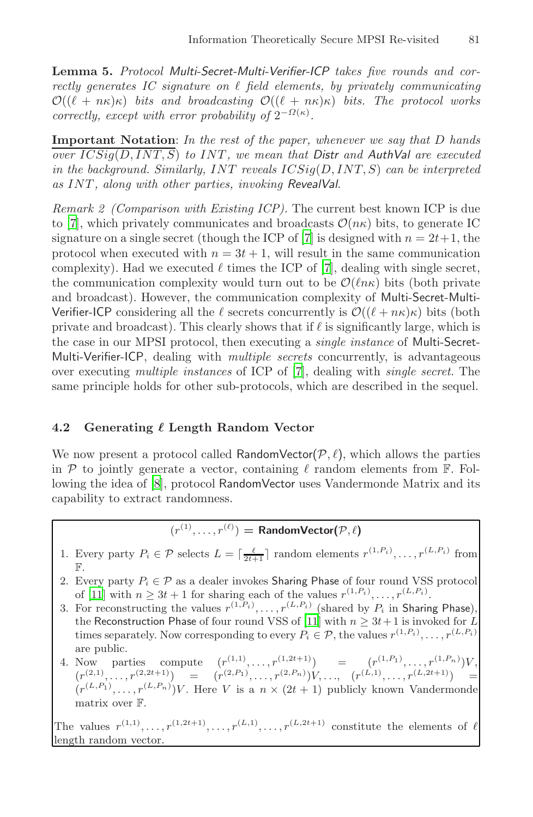**Lemma 5.** *Protocol Multi-Secret-Multi-Verifier-ICP takes five rounds and cor* $rectly$  generates IC signature on  $\ell$  field elements, by privately communicating  $\mathcal{O}((\ell + n\kappa)\kappa)$  *bits and broadcasting*  $\mathcal{O}((\ell + n\kappa)\kappa)$  *bits. The protocol works correctly, except with error [pr](#page-19-10)obability of*  $2^{-\Omega(\kappa)}$ *.* 

**Important Notation**: *In the rest of the paper, whenever we say that* D *hands over* ICSig(D, INT, S) *to* IN[T](#page-19-10) *, we mean that Distr and AuthVal are executed in the background. Similarly,* INT *reveals* ICSig(D, INT, S) *can be interpreted as* INT *, along with other parties, invoking RevealVal*.

*Remark 2 (Comparison with Existing ICP).* The current best known ICP is due to [7], which privately communicates and broadcasts  $\mathcal{O}(n\kappa)$  bits, to generate IC signature on a single secret (though the ICP of [7] is designed with  $n = 2t+1$ , the protocol when executed w[it](#page-19-10)h  $n = 3t + 1$ , will result in the same communication complexity). Had we executed  $\ell$  times the ICP of [7], dealing with single secret, the communication complexity would turn out to be  $\mathcal{O}(\ln \kappa)$  bits (both private and broadcast). However, the communication complexity of Multi-Secret-Multi-Verifier-ICP considering all the  $\ell$  secrets concurrently is  $\mathcal{O}((\ell + n\kappa)\kappa)$  bits (both private and broadcast). This clearly shows that if  $\ell$  is significantly large, which is the case in our MPSI protocol, then executing a *single instance* of Multi-Secret-Multi-Verifier-ICP, dealing with *multiple secrets* concurrently, is advantageous [o](#page-19-7)ver executing *multiple instances* of ICP of [7], dealing with *single secret*. The same principle holds for other sub-protocols, which are described in the sequel.

#### **4.2 Generating Length Random Vector**

We now present a protocol called RandomVector $(\mathcal{P}, \ell)$ , which allows the parties in  $P$  to jointly generate a vector, containing  $\ell$  random elements from  $\mathbb{F}$ . Following the idea of [8], protocol RandomVector uses Vandermonde Matrix and its capability to extract rando[mne](#page-19-3)ss.

 $(r^{(1)}, \ldots, r^{(\ell)}) =$  **RandomVector(** $\mathcal{P}, \ell$ )

1. Every party  $P_i \in \mathcal{P}$  selects  $L = \lceil \frac{\ell}{2t+1} \rceil$  random elements  $r^{(1,P_i)}, \ldots, r^{(L,P_i)}$  from F.

2. Every party  $P_i \in \mathcal{P}$  as a dealer invokes Sharing Phase of four round VSS protocol of [11] with  $n \geq 3t + 1$  for sharing each of the values  $r^{(1,P_i)}, \ldots, r^{(L,P_i)}$ .

3. For reconstructing the values  $r^{(1,P_i)}, \ldots, r^{(L,P_i)}$  (shared by  $P_i$  in Sharing Phase), the Reconstruction Phase of four round VSS of [11] with  $n \geq 3t+1$  is invoked for L times separately. Now corresponding to every  $P_i \in \mathcal{P}$ , the values  $r^{(1,P_i)}, \ldots, r^{(L,P_i)}$ are public.

4. Now parties compute  $(r^{(1,1)},...,r^{(1,2t+1)})$  =  $(r^{(1,P_1)},...,r^{(1,P_n)})V$ ,  $(r^{(2,1)},\ldots,r^{(2,2t+1)})$  =  $(r^{(2,P_1)},\ldots,r^{(2,P_n)})V,\ldots, (r^{(L,1)},\ldots,r^{(L,2t+1)})$  =  $(r^{(L,P_1)}, \ldots, r^{(L,P_n)})V$ . Here V is a  $n \times (2t+1)$  publicly known Vandermonde matrix over F.

The values  $r^{(1,1)},\ldots,r^{(1,2t+1)},\ldots,r^{(L,1)},\ldots,r^{(L,2t+1)}$  constitute the elements of  $\ell$ length random vector.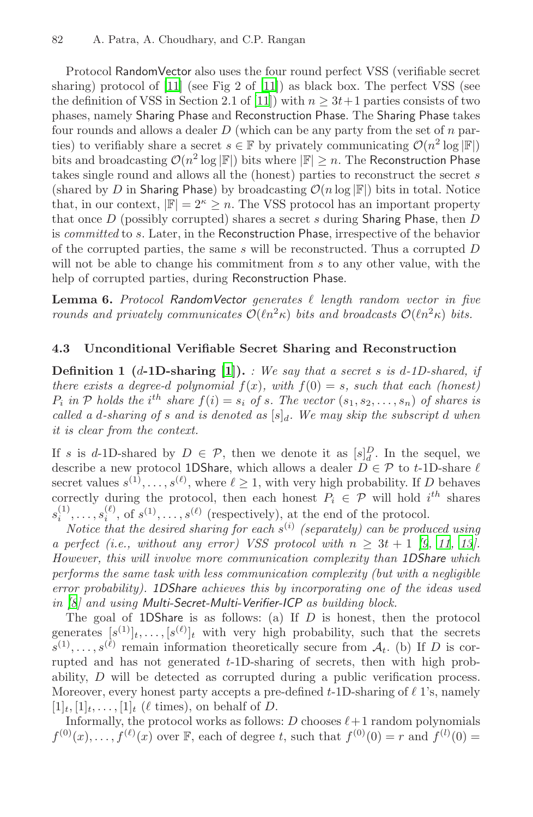Protocol RandomVector also uses the four round perfect VSS (verifiable secret sharing) protocol of [11] (see Fig 2 of [11]) as black box. The perfect VSS (see the definition of VSS in Section 2.1 of [11]) with  $n \geq 3t+1$  parties consists of two phases, namely Sharing Phase and Reconstruction Phase. The Sharing Phase takes four rounds and allows a dealer  $D$  (which can be any party from the set of  $n$  parties) to verifiably share a secret  $s \in \mathbb{F}$  by privately communicating  $\mathcal{O}(n^2 \log |\mathbb{F}|)$ bits and broadcasting  $\mathcal{O}(n^2 \log |\mathbb{F}|)$  bits where  $|\mathbb{F}| \geq n$ . The Reconstruction Phase takes single round and allows all the (honest) parties to reconstruct the secret s (shared by D in Sharing Phase) by broadcasting  $\mathcal{O}(n \log |\mathbb{F}|)$  bits in total. Notice that, in our context,  $|\mathbb{F}| = 2^{\kappa} \ge n$ . The VSS protocol has an important property that once  $D$  (possibly corrupted) shares a secret s during Sharing Phase, then  $D$ is *committed* to s. Later, in the Reconstruction Phase, irrespective of the behavior of the corru[pte](#page-19-11)d parties, the same s will be reconstructed. Thus a corrupted D will not be able to change his commitment from s to any other value, with the help of corrupted parties, during Reconstruction Phase.

Lemma 6. Protocol RandomVector generates  $\ell$  length random vector in five *rounds and privately communicates*  $O(\ln^2 \kappa)$  *bits and broadcasts*  $O(\ln^2 \kappa)$  *bits.* 

#### **4.3 Unconditional Verifiable Secret Sharing and Reconstruction**

**Definition 1 (**d**-1D-sharing [1]).** *: We say that a secret* s *is* d*-1D-shared, if there exists a degree-d polynomial*  $f(x)$ *, with*  $f(0) = s$ *, such that each (honest)*  $P_i$  in  $P$  holds the i<sup>th</sup> share  $f(i) = s_i$  of s. The vector  $(s_1, s_2, \ldots, s_n)$  of shares is *called a d-[s](#page-19-3)haring of s and is denoted as*  $[s]_d$ *. We [m](#page-19-12)[ay](#page-19-3) s[kip](#page-19-4) the subscript d when it is clear from the context.*

If s is d-1D-shared by  $D \in \mathcal{P}$ , then we denote it as  $[s]_d^D$ . In the sequel, we describe a new protocol 1DShare, which allows a dealer  $D \in \mathcal{P}$  to t-1D-share  $\ell$ secret values  $s^{(1)},\ldots,s^{(\ell)}$ , where  $\ell \geq 1$ , with very high probability. If D behaves correctly during the protocol, then each honest  $P_i \in \mathcal{P}$  will hold  $i^{th}$  shares  $s_i^{(1)}, \ldots, s_i^{(\ell)}$ , of  $s^{(1)}, \ldots, s^{(\ell)}$  (respectively), at the end of the protocol.

*Notice that the desired sharing for each*  $s^{(i)}$  *(separately) can be produced using a perfect (i.e., without any error) VSS protocol with*  $n \geq 3t + 1$  [9, 11, 13]. *However, this will involve more communication complexity than 1DShare which performs the same task with less communication complexity (but with a negligible error probability). 1DShare achieves this by incorporating one of the ideas used in [8] and using Multi-Secret-Multi-Verifier-ICP as building block.*

The goal of 1DShare is as follows: (a) If  $D$  is honest, then the protocol generates  $[s^{(1)}]_t, \ldots, [s^{(\ell)}]_t$  with very high probability, such that the secrets  $\widetilde{s}^{(1)},\ldots,s^{(\ell)}$  remain information theoretically secure from  $\mathcal{A}_t$ . (b) If D is corrupted and has not generated t-1D-sharing of secrets, then with high probability, D will be detected as corrupted during a public verification process. Moreover, every honest party accepts a pre-defined  $t$ -1D-sharing of  $\ell$  1's, namely  $[1]_t, [1]_t, \ldots, [1]_t$  ( $\ell$  times), on behalf of D.

Informally, the protocol works as follows: D chooses  $\ell+1$  random polynomials  $f^{(0)}(x), \ldots, f^{(\ell)}(x)$  over F, each of degree t, such that  $f^{(0)}(0) = r$  and  $f^{(l)}(0) =$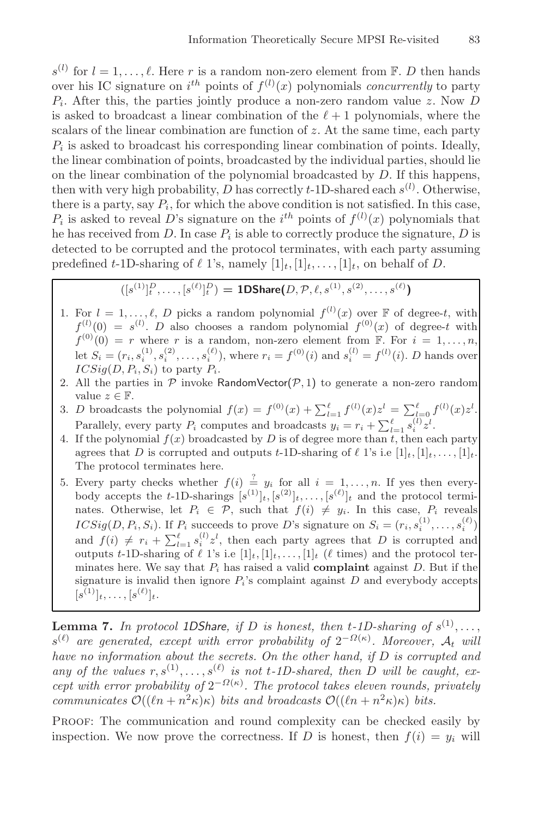$s^{(l)}$  for  $l = 1, \ldots, \ell$ . Here r is a random non-zero element from  $\mathbb{F}$ . D then hands over his IC signature on  $i^{th}$  points of  $f^{(l)}(x)$  polynomials *concurrently* to party  $P_i$ . After this, the parties jointly produce a non-zero random value z. Now D is asked to broadcast a linear combination of the  $\ell+1$  polynomials, where the scalars of the linear combination are function of  $z$ . At the same time, each party  $P_i$  is asked to broadcast his corresponding linear combination of points. Ideally, the linear combination of points, broadcasted by the individual parties, should lie on the linear combination of the polynomial broadcasted by D. If this happens, then with very high probability,  $\overline{D}$  has correctly t-1D-shared each  $s^{(l)}$ . Otherwise, there is a party, say  $P_i$ , for which the above condition is not satisfied. In this case,  $P_i$  is asked to reveal D's signature on the i<sup>th</sup> points of  $f^{(l)}(x)$  polynomials that he has received from  $D$ . In case  $P_i$  is able to correctly produce the signature,  $D$  is detected to be corrupted and the protocol terminates, with each party assuming predefined t-1D-sharing of  $\ell$  1's, namely  $[1]_t, [1]_t, \ldots, [1]_t$ , on behalf of D.

$$
([s^{(1)}]_t^D, \ldots, [s^{(\ell)}]_t^D) = \text{1DShare}(D, \mathcal{P}, \ell, s^{(1)}, s^{(2)}, \ldots, s^{(\ell)})
$$

- 1. For  $l = 1, ..., \ell, D$  picks a random polynomial  $f^{(l)}(x)$  over  $\mathbb F$  of degree-t, with  $f^{(l)}(0) = s^{(l)}$ . D also chooses a random polynomial  $f^{(0)}(x)$  of degree-t with  $f^{(0)}(0) = r$  where r is a random, non-zero element from F. For  $i = 1, \ldots, n$ , let  $S_i = (r_i, s_i^{(1)}, s_i^{(2)}, \dots, s_i^{(\ell)})$ , where  $r_i = f^{(0)}(i)$  and  $s_i^{(l)} = f^{(l)}(i)$ . D hands over  $ICSig(D, P_i, S_i)$  to party  $P_i$ .
- 2. All the parties in  $\mathcal P$  invoke RandomVector( $\mathcal P$ , 1) to generate a non-zero random value  $z \in \mathbb{F}$ .
- 3. D broadcasts the polynomial  $f(x) = f^{(0)}(x) + \sum_{l=1}^{\ell} f^{(l)}(x)z^{l} = \sum_{l=0}^{\ell} f^{(l)}(x)z^{l}$ . Parallely, every party  $P_i$  computes and broadcasts  $y_i = r_i + \sum_{l=1}^{\ell} s_i^{(l)} z^l$ .
- 4. If the polynomial  $f(x)$  broadcasted by D is of degree more than t, then each party agrees that D is corrupted and outputs t-1D-sharing of  $\ell$  1's i.e  $[1]_t, [1]_t, \ldots, [1]_t$ . The protocol terminates here.
- 5. Every party checks whether  $f(i) \stackrel{?}{=} y_i$  for all  $i = 1, \ldots, n$ . If yes then everybody accepts the t-1D-sharings  $[s^{(1)}]_t, [s^{(2)}]_t, \ldots, [s^{(\ell)}]_t$  and the protocol terminates. Otherwise, let  $P_i \in \mathcal{P}$ , such that  $f(i) \neq y_i$ . In this case,  $P_i$  reveals  $ICSig(D, P_i, S_i)$ . If  $P_i$  succeeds to prove D's signature on  $S_i = (r_i, s_i^{(1)}, \ldots, s_i^{(\ell)})$ and  $f(i) \neq r_i + \sum_{l=1}^{\ell} s_i^{(l)} z^l$ , then each party agrees that D is corrupted and outputs t-1D-sharing of  $\ell$  1's i.e  $[1]_t, [1]_t, \ldots, [1]_t$  ( $\ell$  times) and the protocol terminates here. We say that  $P_i$  has raised a valid **complaint** against  $D$ . But if the signature is invalid then ignore  $P_i$ 's complaint against  $D$  and everybody accepts  $[s^{(1)}]_t, \ldots, [s^{(\ell)}]_t.$

**Lemma 7.** *In protocol 1DShare, if D is honest, then*  $t$ -1*D*-sharing of  $s^{(1)}, \ldots$ , s() *are generated, except with error probability of* 2−Ω(κ) *. Moreover,* A<sup>t</sup> *will have no information about the secrets. On the other hand, if* D *is corrupted and* any of the values  $r, s^{(1)}, \ldots, s^{(\ell)}$  is not t-1D-shared, then D will be caught, ex $c$ *ept with error probability of*  $2^{-\Omega(\kappa)}$ *. The protocol takes eleven rounds, privately communicates*  $\mathcal{O}((\ln + n^2 \kappa)\kappa)$  *bits and broadcasts*  $\mathcal{O}((\ln + n^2 \kappa)\kappa)$  *bits.* 

PROOF: The communication and round complexity can be checked easily by inspection. We now prove the correctness. If D is honest, then  $f(i) = y_i$  will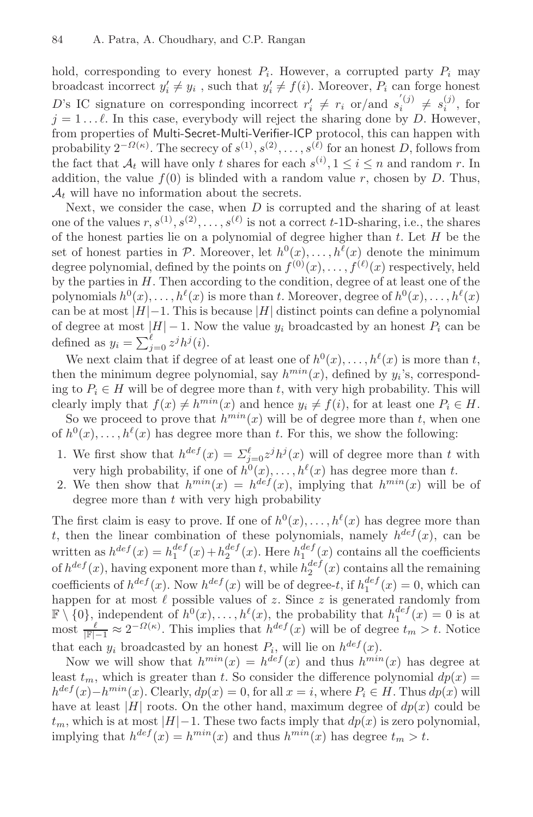hold, corresponding to every honest  $P_i$ . However, a corrupted party  $P_i$  may broadcast incorrect  $y_i' \neq y_i$ , such that  $y_i' \neq f(i)$ . Moreover,  $P_i$  can forge honest D's IC signature on corresponding incorrect  $r'_i \neq r_i$  or/and  $s_i^{(j)} \neq s_i^{(j)}$ , for  $j = 1 \dots \ell$ . In this case, everybody will reject the sharing done by D. However, from properties of Multi-Secret-Multi-Verifier-ICP protocol, this can happen with probability  $2^{-\Omega(\kappa)}$ . The secrecy of  $s^{(1)}, s^{(2)}, \ldots, s^{(\ell)}$  for an honest D, follows from the fact that  $A_t$  will have only t shares for each  $s^{(i)}$ ,  $1 \le i \le n$  and random r. In addition, the value  $f(0)$  is blinded with a random value r, chosen by D. Thus,  $\mathcal{A}_t$  will have no information about the secrets.

Next, we consider the case, when  $D$  is corrupted and the sharing of at least one of the values  $r, s^{(1)}, s^{(2)}, \ldots, s^{(\ell)}$  is not a correct t-1D-sharing, i.e., the shares of the honest parties lie on a polynomial of degree higher than  $t$ . Let  $H$  be the set of honest parties in P. Moreover, let  $h^0(x), \ldots, h^{\ell}(x)$  denote the minimum degree polynomial, defined by the points on  $f^{(0)}(x), \ldots, f^{(\ell)}(x)$  respectively, held by the parties in  $H$ . Then according to the condition, degree of at least one of the polynomials  $h^0(x), \ldots, h^{\ell}(x)$  is more than t. Moreover, degree of  $h^0(x), \ldots, h^{\ell}(x)$ can be at most  $|H|-1$ . This is because  $|H|$  distinct points can define a polynomial of degree at most  $|H| - 1$ . Now the value  $y_i$  broadcasted by an honest  $P_i$  can be defined as  $y_i = \sum_{j=0}^{l} z^j h^j(i)$ .

We next claim that if degree of at least one of  $h^0(x), \ldots, h^{\ell}(x)$  is more than t, then the minimum degree polynomial, say  $h^{min}(x)$ , defined by  $y_i$ 's, corresponding to  $P_i \in H$  will be of degree more than t, with very high probability. This will clearly imply that  $f(x) \neq h^{min}(x)$  and hence  $y_i \neq f(i)$ , for at least one  $P_i \in H$ .

So we proceed to prove that  $h^{min}(x)$  will be of degree more than t, when one of  $h^0(x),\ldots,h^{\ell}(x)$  has degree more than t. For this, we show the following:

- 1. We first show that  $h^{def}(x) = \sum_{j=0}^{\ell} z^{j} h^{j}(x)$  will of degree more than t with very high probability, if one of  $h^0(x), \ldots, h^{\ell}(x)$  has degree more than t.
- 2. We then show that  $h^{min}(x) = h^{def}(x)$ , implying that  $h^{min}(x)$  will be of degree more than  $t$  with very high probability

The first claim is easy to prove. If one of  $h^0(x), \ldots, h^{\ell}(x)$  has degree more than t, then the linear combination of these polynomials, namely  $h^{def}(x)$ , can be written as  $h^{def}(x) = h_1^{def}(x) + h_2^{def}(x)$ . Here  $h_1^{def}(x)$  contains all the coefficients of  $h^{def}(x)$ , having exponent more than t, while  $h_2^{def}(x)$  contains all the remaining coefficients of  $h^{def}(x)$ . Now  $h^{def}(x)$  will be of degree-t, if  $h_1^{def}(x) = 0$ , which can happen for at most  $\ell$  possible values of z. Since z is generated randomly from  $\mathbb{F} \setminus \{0\}$ , independent of  $h^0(x), \ldots, h^\ell(x)$ , the probability that  $h_1^{def}(x) = 0$  is at most  $\frac{\ell}{|\mathbb{F}|-1} \approx 2^{-\Omega(\kappa)}$ . This implies that  $h^{def}(x)$  will be of degree  $t_m > t$ . Notice that each  $y_i$  broadcasted by an honest  $P_i$ , will lie on  $h^{def}(x)$ .

Now we will show that  $h^{min}(x) = h^{def}(x)$  and thus  $h^{min}(x)$  has degree at least  $t_m$ , which is greater than t. So consider the difference polynomial  $dp(x) =$  $h^{def}(x)-h^{min}(x)$ . Clearly,  $dp(x)=0$ , for all  $x=i$ , where  $P_i\in H$ . Thus  $dp(x)$  will have at least |H| roots. On the other hand, maximum degree of  $dp(x)$  could be  $t_m$ , which is at most  $|H|-1$ . These two facts imply that  $dp(x)$  is zero polynomial, implying that  $h^{def}(x) = h^{min}(x)$  and thus  $h^{min}(x)$  has degree  $t_m > t$ .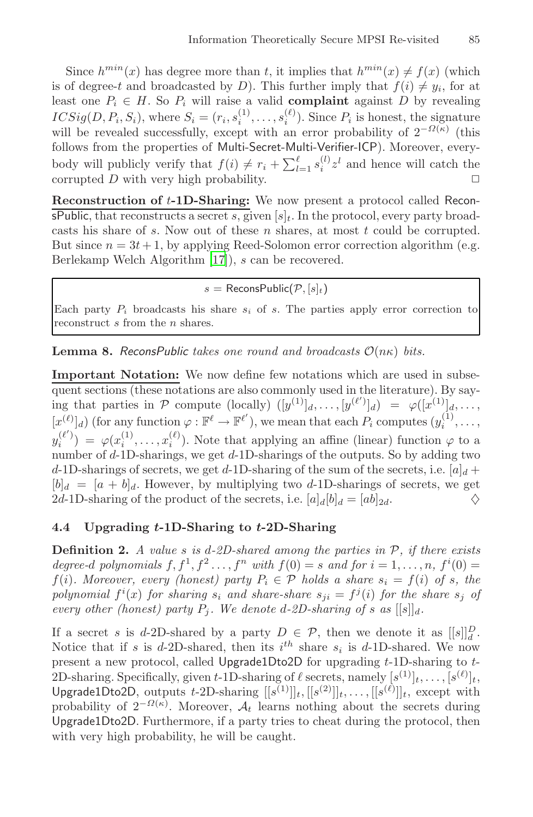Since  $h^{min}(x)$  has degree more than t, it implies that  $h^{min}(x) \neq f(x)$  (which is of degree-t and broadcasted by D). This further imply that  $f(i) \neq y_i$ , for at least one  $P_i \in H$ . So  $P_i$  will raise a valid **complaint** against D by revealing  $ICSig(D, P_i, S_i)$ , where  $S_i = (r_i, s_i^{(1)}, \ldots, s_i^{(\ell)})$ . Since  $P_i$  is honest, the signature will be revealed successfully, except with an error probability of  $2^{-\Omega(\kappa)}$  (this follows fro[m t](#page-20-3)he properties of Multi-Secret-Multi-Verifier-ICP). Moreover, everybody will publicly verify that  $f(i) \neq r_i + \sum_{l=1}^{\ell} s_i^{(l)} z^l$  and hence will catch the corrupted  $D$  with very high probability.  $\Box$ 

**Reconstruction of** t**-1D-Sharing:** We now present a protocol called ReconsPublic, that reconstructs a secret s, given  $[s]_t$ . In the protocol, every party broadcasts his share of  $s$ . Now out of these  $n$  shares, at most  $t$  could be corrupted. But since  $n = 3t + 1$ , by applying Reed-Solomon error correction algorithm (e.g. Berlekamp Welch Algorithm [17]), s can be recovered.

#### $s =$  ReconsPublic( $\mathcal{P}, [s]_t$ )

Each party  $P_i$  broadcasts his share  $s_i$  of s. The parties apply error correction to reconstruct s from the *n* shares.

**Lemma 8.** *ReconsPublic takes one round and broadcasts*  $\mathcal{O}(n\kappa)$  *bits.* 

**Important Notation:** We now define few notations which are used in subsequent sections (these notations are also commonly used in the literature). By saying that parties in P compute (locally)  $([y^{(1)}]_d, \ldots, [y^{(\ell')}]_d) = \varphi([x^{(1)}]_d, \ldots,$  $[x^{(\ell)}]_d$  (for any function  $\varphi : \mathbb{F}^{\ell} \to \mathbb{F}^{\ell'}$ ), we mean that each  $P_i$  computes  $(y_i^{(1)}, \ldots,$  $y_i^{(\ell')} = \varphi(x_i^{(1)}, \ldots, x_i^{(\ell)})$ . Note that applying an affine (linear) function  $\varphi$  to a number of  $d$ -1D-sharings, we get  $d$ -1D-sharings of the outputs. So by adding two d-1D-sharings of secrets, we get d-1D-sharing of the sum of the secrets, i.e.  $[a]_d$  +  $[b]_d = [a + b]_d$ . However, by multiplying two d-1D-sharings of secrets, we get 2d-1D-sharing of the product of the secrets, i.e.  $[a]_d[b]_d = [ab]_{2d}$ .  $\diamondsuit$ 

#### **4.4 Upgrading** *t***-1D-Sharing to** *t***-2D-Sharing**

**Definition 2.** *A value* s *is* d*-2D-shared among the parties in* P*, if there exists degree-d polynomials*  $f, f^1, f^2, \ldots, f^n$  *with*  $f(0) = s$  *and for*  $i = 1, \ldots, n$ ,  $f^i(0) =$ f(i)*.* Moreover, every (honest) party  $P_i \in \mathcal{P}$  holds a share  $s_i = f(i)$  of s, the *polynomial*  $f^{i}(x)$  *for sharing*  $s_{i}$  *and share-share*  $s_{ji} = f^{j}(i)$  *for the share*  $s_{j}$  *of every other (honest) party*  $P_j$ *. We denote d-2D-sharing of s as*  $[[s]]_d$ *.* 

If a secret s is d-2D-shared by a party  $D \in \mathcal{P}$ , then we denote it as  $[[s]]_d^D$ . Notice that if s is d-2D-shared, then its  $i^{th}$  share  $s_i$  is d-1D-shared. We now present a new protocol, called Upgrade1Dto2D for upgrading t-1D-sharing to t-2D-sharing. Specifically, given t-1D-sharing of  $\ell$  secrets, namely  $[s^{(1)}]_t, \ldots, [s^{(\ell)}]_t$ Upgrade1Dto2D, outputs t-2D-sharing  $[[s^{(1)}]]_t, [[s^{(2)}]]_t, \ldots, [[s^{(\ell)}]]_t,$  except with probability of  $2^{-\Omega(\kappa)}$ . Moreover,  $\mathcal{A}_t$  learns nothing about the secrets during Upgrade1Dto2D. Furthermore, if a party tries to cheat during the protocol, then with very high probability, he will be caught.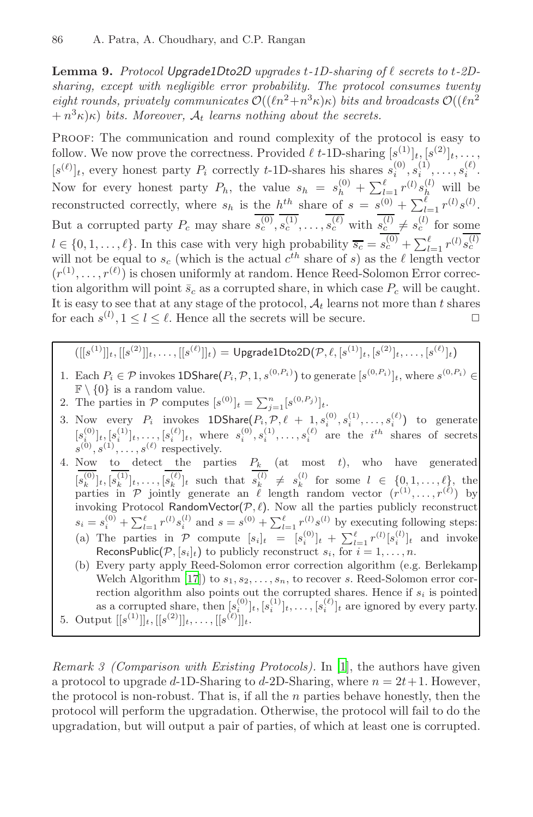Lemma 9. Protocol Upgrade1Dto2D upgrades t-1D-sharing of  $\ell$  secrets to t-2D*sharing, except with negligible error probability. The protocol consumes twenty eight rounds, privately communicates*  $\mathcal{O}((\ell n^2 + n^3 \kappa)\kappa)$  *bits and broadcasts*  $\mathcal{O}((\ell n^2 + n^3 \kappa)\kappa)$  $+n^{3}\kappa$ <sub>k</sub>) *bits. Moreover,*  $A_{t}$  *learns nothing about the secrets.* 

Proof: The communication and round complexity of the protocol is easy to follow. We now prove the correctness. Provided  $\ell$  t-1D-sharing  $[s^{(1)}]_t, [s^{(2)}]_t, \ldots$ ,  $[s^{(\ell)}]_t$ , every honest party  $P_i$  correctly t-1D-shares his shares  $s_i^{(0)}, s_i^{(1)}, \ldots, s_i^{(\ell)}$ . Now for every honest party  $P_h$ , the value  $s_h = s_h^{(0)} + \sum_{l=1}^{\ell} r^{(l)} s_h^{(l)}$  will be reconstructed correctly, where  $s_h$  is the  $h^{th}$  share of  $s = s^{(0)} + \sum_{l=1}^{l} r^{(l)} s^{(l)}$ . But a corrupted party  $P_c$  may share  $\overline{s_c^{(0)}}, \overline{s_c^{(1)}}, \ldots, \overline{s_c^{(\ell)}}$  with  $\overline{s_c^{(l)}} \neq s_c^{(l)}$  for some  $l \in \{0, 1, \ldots, \ell\}$ . In this case with very high probability  $\overline{s_c} = \overline{s_c^{(0)}} + \sum_{l=1}^{\ell} r^{(l)} s_c^{(l)}$  $\ell$ will not be equal to  $s_c$  (which is the actual  $c^{th}$  share of s) as the  $\ell$  length vector  $(r^{(1)},\ldots,r^{(\ell)})$  is chosen uniformly at random. Hence Reed-Solomon Error correction algorithm will point  $\bar{s}_c$  as a corrupted share, in which case  $P_c$  will be caught. It is easy to see that at any stage of the protocol,  $A_t$  learns not more than t shares for each  $s^{(l)}$ ,  $1 \le l \le l$ . Hence all the secrets will be secure.

 $([[s^{(1)}]]_t, [[s^{(2)}]]_t, \ldots, [[s^{(\ell)}]]_t) = \mathsf{UpgradelDto2D}(\mathcal{P},\ell,[s^{(1)}]_t, [s^{(2)}]_t, \ldots, [s^{(\ell)}]_t)$ 

- 1. Each  $P_i \in \mathcal{P}$  invokes 1DShare $(P_i, \mathcal{P}, 1, s^{(0, P_i)})$  to generate  $[s^{(0, P_i)}]_t$ , where  $s^{(0, P_i)}$  $\mathbb{F}\setminus\{0\}$  is a random value.
- 2. The parties in  $P$  computes  $[s^{(0)}]_t = \sum_{j=1}^n [s^{(0,P_j)}]_t$ .
- 3. Now every  $P_i$  invokes  $1DShare(P_i, P, \ell + 1, s_i^{(0)}, s_i^{(1)}, \ldots, s_i^{(\ell)})$  to generate  $[s_{i}^{(0)}]_t,[s_{i}^{(1)}]_t,\ldots,[s_{i}^{(\ell)}]_t$ , where  $s_{i}^{(0)},s_{i}^{(1)},\ldots,s_{i}^{(\ell)}$  are the  $i^{th}$  shares of secrets  $s^{(0)}, s^{(1)}, \ldots, s^{(\ell)}$  respectively.
- 4. [Now](#page-20-3) to detect the parties  $P_k$  (at most t), who have generated  $[s_k^{(0)}]_t, [s_k^{(1)}]_t, \ldots, [s_k^{(\ell)}]_t$  such that  $s_k^{(l)} \neq s_k^{(l)}$  for some  $l \in \{0, 1, \ldots, \ell\},\$  the parties in P jointly generate an  $\ell$  length random vector  $(r^{(1)}, \ldots, r^{(\ell)})$  by invoking Protocol RandomVector( $P, \ell$ ). Now all the parties publicly reconstruct  $s_i = s_i^{(0)} + \sum_{l=1}^{\ell} r^{(l)} s_i^{(l)}$  and  $s = s^{(0)} + \sum_{l=1}^{\ell} r^{(l)} s^{(l)}$  by executing following steps: (a) The parties in  $P$  compute  $[s_i]_t = [s_i^{(0)}]_t + \sum_{l=1}^{\ell} r^{(l)}[s_i^{(l)}]_t$  and invoke ReconsPu[bli](#page-19-11)c( $\mathcal{P}, [s_i]_t$ ) to publicly reconstruct  $s_i$ , for  $i = 1, \ldots, n$ .
- (b) Every party apply Reed-Solomon error correction algorithm (e.g. Berlekamp Welch Algorithm [17]) to  $s_1, s_2, \ldots, s_n$ , to recover s. Reed-Solomon error correction algorithm also points out the corrupted shares. Hence if  $s_i$  is pointed as a corrupted share, then  $[s_i^{(0)}]_t, [s_i^{(1)}]_t, \ldots, [s_i^{(\ell)}]_t$  are ignored by every party. 5. Output  $[[s^{(1)}]]_t, [[s^{(2)}]]_t, \ldots, [[s^{(\ell)}]]_t$ .

*Remark 3 (Comparison with Existing Protocols).* In [1], the authors have given a protocol to upgrade d-1D-Sharing to d-2D-Sharing, where  $n = 2t + 1$ . However, the protocol is non-robust. That is, if all the  $n$  parties behave honestly, then the protocol will perform the upgradation. Otherwise, the protocol will fail to do the upgradation, but will output a pair of parties, of which at least one is corrupted.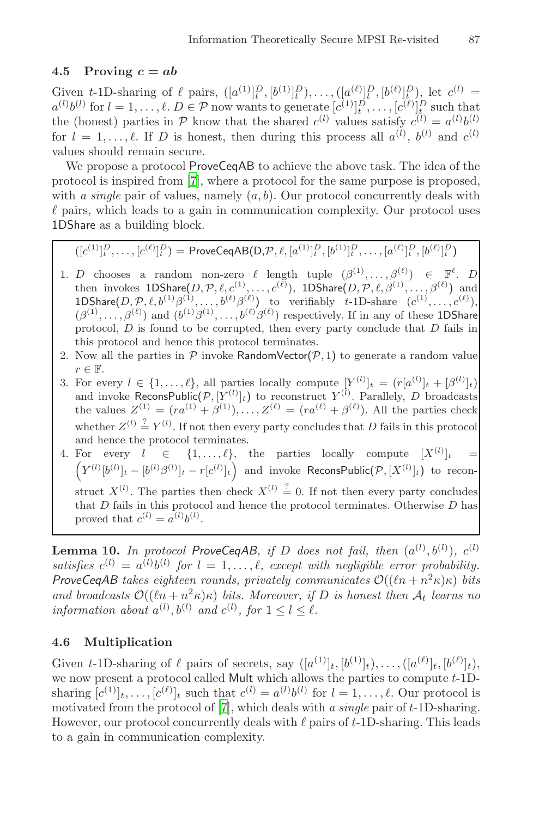#### 4.5 [Pr](#page-19-10)oving  $c = ab$

Given t-1D-sharing of  $\ell$  pairs,  $([a^{(1)}]_t^D, [b^{(1)}]_t^D, \ldots, ([a^{(\ell)}]_t^D, [b^{(\ell)}]_t^D)$ , let  $c^{(l)}$  =  $a^{(l)}b^{(l)}$  for  $l = 1, \ldots, \ell$ .  $D \in \mathcal{P}$  now wants to generate  $[c^{(1)}]_t^{D}, \ldots, [c^{(\ell)}]_t^{D}$  such that the (honest) parties in P know that the shared  $c^{(l)}$  values satisfy  $c^{(l)} = a^{(l)}b^{(l)}$ for  $l = 1, \ldots, \ell$ . If D is honest, then during this process all  $a^{(l)}$ ,  $b^{(l)}$  and  $c^{(l)}$ values should remain secure.

We propose a protocol ProveCeqAB to achieve the above task. The idea of the protocol is inspired from [7], where a protocol for the same purpose is proposed, with *a single* pair of values, namely  $(a, b)$ . Our protocol concurrently deals with  $\ell$  pairs, which leads to a gain in communication complexity. Our protocol uses 1DShare as a building block.

$$
([c^{(1)}]_t^D, \ldots, [c^{(\ell)}]_t^D) = \mathsf{ProveCeqAB}(D, \mathcal{P}, \ell, [a^{(1)}]_t^D, [b^{(1)}]_t^D, \ldots, [a^{(\ell)}]_t^D, [b^{(\ell)}]_t^D)
$$

- 1. D chooses a random non-zero  $\ell$  length tuple  $(\beta^{(1)},\ldots,\beta^{(\ell)}) \in \mathbb{F}^{\ell}$ . D then invokes  $\mathsf{1DS}$ hare $(D, \mathcal{P}, \ell, c^{(1)}, \ldots, c^{(\ell)}), \ \mathsf{1DS}$ hare $(D, \mathcal{P}, \ell, \beta^{(1)}, \ldots, \beta^{(\ell)})$  and 1DShare $(D, \mathcal{P}, \ell, b^{(1)}\beta^{(1)}, \ldots, b^{(\ell)}\beta^{(\ell)})$  to verifiably t-1D-share  $(c^{(1)}, \ldots, c^{(\ell)}),$  $(\beta^{(1)},\ldots,\beta^{(\ell)})$  and  $(b^{(1)}\beta^{(1)},\ldots,b^{(\ell)}\beta^{(\ell)})$  respectively. If in any of these 1DShare protocol,  $D$  is found to be corrupted, then every party conclude that  $D$  fails in this protocol and hence this protocol terminates.
- 2. Now all the parties in  $\mathcal P$  invoke RandomVector( $\mathcal P$ , 1) to generate a random value  $r \in \mathbb{F}$ .
- 3. For every  $l \in \{1,\ldots,\ell\}$ , all parties locally compute  $[Y^{(l)}]_t = (r[a^{(l)}]_t + [\beta^{(l)}]_t)$ and invoke ReconsPublic $(\mathcal{P}, [Y^{(l)}]_t)$  to reconstruct  $Y^{(l)}$ . Parallely, D broadcasts the values  $Z^{(1)} = (ra^{(1)} + \beta^{(1)}), \ldots, Z^{(\ell)} = (ra^{(\ell)} + \beta^{(\ell)})$ . All the parties check whether  $Z^{(l)} \stackrel{?}{=} Y^{(l)}$ . If not then every party concludes that D fails in this protocol and hence the protocol terminates.
- 4. For every  $l \in \{1,\ldots,\ell\}$ , the parties locally compute  $[X^{(l)}]_t =$  $(Y^{(l)}[b^{(l)}]_t-[b^{(l)}\beta^{(l)}]_t-r[c^{(l)}]_t)$  and invoke ReconsPublic $(\mathcal{P},[X^{(l)}]_t)$  to reconstruct  $X^{(l)}$ . The parties then check  $X^{(l)} \stackrel{?}{=} 0$ . If not then every party concludes that  $D$  fails in this protocol and hence the protocol terminates. Otherwise  $D$  has proved that  $c^{(l)} = a^{(l)}b^{(l)}$ .

**Lemma 10.** In protocol ProveCeqAB, if D does not fail, then  $(a^{(l)}, b^{(l)})$ ,  $c^{(l)}$ satisfies  $c^{(l)} = a^{(l)}b^{(l)}$  for  $l = 1, \ldots, \ell$ , except with negligible error probability. *ProveCeqAB takes eighteen rounds, privately communicates*  $\mathcal{O}((\ln + n^2 \kappa)\kappa)$  *bits and broadca[sts](#page-19-10)*  $\mathcal{O}((ln + n^2 \kappa)\kappa)$  *bits. Moreover, if* D *is honest then*  $\mathcal{A}_t$  *learns* no *information about*  $a^{(l)}$ ,  $b^{(l)}$  *and*  $c^{(l)}$ , for  $1 \leq l \leq l$ .

#### **4.6 Multiplication**

Given t-1D-sharing of  $\ell$  pairs of secrets, say  $([a^{(1)}]_t, [b^{(1)}]_t), \ldots, ([a^{(\ell)}]_t, [b^{(\ell)}]_t),$ we now present a protocol called Mult which allows the parties to compute  $t$ -1Dsharing  $[c^{(1)}]_t, \ldots, [c^{(\ell)}]_t$  such that  $c^{(l)} = a^{(l)}b^{(l)}$  for  $l = 1, \ldots, \ell$ . Our protocol is motivated from the protocol of [7], which deals with *a single* pair of t-1D-sharing. However, our protocol concurrently deals with  $\ell$  pairs of  $t$ -1D-sharing. This leads to a gain in communication complexity.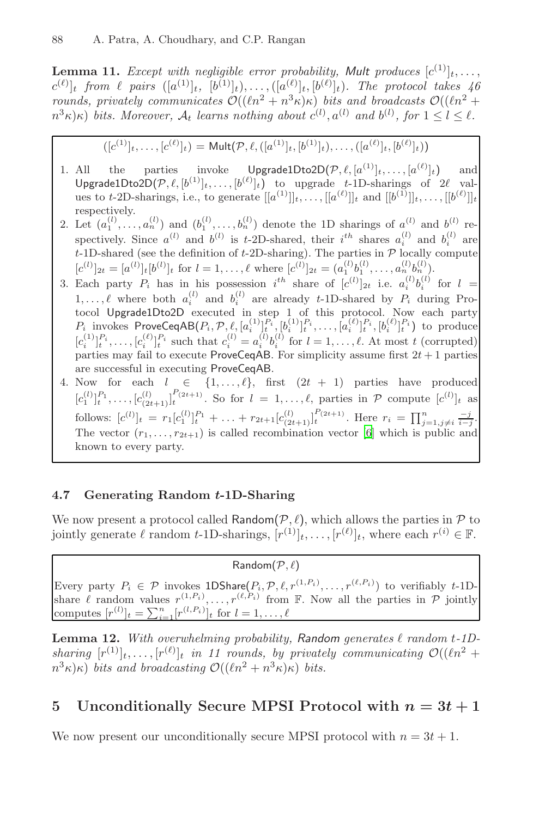**Lemma 11.** *Except with negligible error probability, Mult produces*  $[c^{(1)}]_t, \ldots,$  $(c^{(\ell)}]_t$  from  $\ell$  pairs  $([a^{(1)}]_t, [b^{(1)}]_t), \ldots, ([a^{(\ell)}]_t, [b^{(\ell)}]_t)$ . The protocol takes 46 *rounds, privately communicates*  $\mathcal{O}((\ln^2 + n^3 \kappa)\kappa)$  *bits and broadcasts*  $\mathcal{O}((\ln^2 + n^3 \kappa)\kappa)$  $n^3 \kappa(\kappa)$  *bits. Moreover,*  $\mathcal{A}_t$  *learns nothing about*  $c^{(l)}$ ,  $a^{(l)}$  *and*  $b^{(l)}$ , for  $1 \leq l \leq l$ .

$$
([c^{(1)}]_t, \ldots, [c^{(\ell)}]_t) = \text{Mult}(\mathcal{P}, \ell, ([a^{(1)}]_t, [b^{(1)}]_t), \ldots, ([a^{(\ell)}]_t, [b^{(\ell)}]_t))
$$

- 1. All the parties invoke  $\bigcup$ pgrade1Dto2D $(\mathcal{P}, \ell, [a^{(1)}]_t, \ldots, [a^{(\ell)}]_t)$  $]_t$ ) and  $\mathsf{UpgradelDto2D}(\mathcal{P},\ell,[b^{(1)}]_t,\ldots,[b^{(\ell)}]_t)$  to upgrade t-1D-sharings of  $2\ell$  values to t-2D-sharings, i.e., to generate  $[[a^{(1)}]]_t, \ldots, [[a^{(\ell)}]]_t$  and  $[[b^{(1)}]]_t, \ldots, [[b^{(\ell)}]]_t$ respectively.
- 2. Let  $(a_1^{(l)},\ldots,a_n^{(l)})$  and  $(b_1^{(l)},\ldots,b_n^{(l)})$  denote the 1D sharings of  $a^{(l)}$  and  $b^{(l)}$  respectively. Since  $a^{(l)}$  and  $b^{(l)}$  is t-2D-shared, their  $i^{th}$  shares  $a_i^{(l)}$  and  $b_i^{(l)}$  are  $t$ -1D-shared (see the definition of  $t$ -2D-sharing). The parties in  $P$  locally compute  $[c^{(l)}]_{2t} = [a^{(l)}]_t [b^{(l)}]_t$  for  $l = 1, ..., \ell$  where  $[c^{(l)}]_{2t} = (a_1^{(l)}b_1^{(l)}, ..., a_n^{(l)}b_n^{(l)})$ .
- 3. Each party  $P_i$  has in his possession  $i^{th}$  share of  $[c^{(l)}]_{2t}$  i.e.  $a_i^{(l)}b_i^{(l)}$  for  $l =$  $1,\ldots,\ell$  where both  $a_i^{(l)}$  and  $b_i^{(l)}$  are already t-1D-shared by  $P_i$  during Protocol Upgrade1Dto2D executed in [ste](#page-19-13)p 1 of this protocol. Now each party  $P_i$  invokes ProveCeqAB $(P_i, \mathcal{P}, \ell, [a_i^{(1)}]_t^{P_i}, [b_i^{(1)}]_t^{P_i}, \ldots, [a_i^{(\ell)}]_t^{P_i}, [b_i^{(\ell)}]_t^{P_i})$  to produce  $[c_i^{(1)}]_t^{P_i}, \ldots, [c_i^{(\ell)}]_t^{P_i}$  such that  $c_i^{(l)} = a_i^{(l)}b_i^{(l)}$  for  $l = 1, \ldots, \ell$ . At most t (corrupted) parties may fail to execute ProveCeqAB. For simplicity assume first  $2t + 1$  parties are successful in executing ProveCeqAB.
- 4. Now for each  $l \in \{1,\ldots,\ell\}$ , first  $(2t + 1)$  parties have produced  $[c_1^{(l)}]_t^{P_1}, \ldots, [c_{(2t+1)}^{(l)}]_t^{P_{(2t+1)}}$ . So for  $l = 1, \ldots, \ell$ , parties in P compute  $[c^{(l)}]_t$  as follows:  $[c^{(l)}]_t = r_1[c_1^{(l)}]_t^{P_1} + \ldots + r_{2t+1}[c_{(2t+1)}^{(l)}]_t^{P_{(2t+1)}}$ . Here  $r_i = \prod_{j=1, j\neq i}^n \frac{-j}{i-j}$ . The vector  $(r_1,\ldots,r_{2t+1})$  is called recombination vector [6] which is public and known to every party.

# **4.7 Generating Random** *t***-1D-Sharing**

We now present a protocol called Random $(\mathcal{P}, \ell)$ , which allows the parties in  $\mathcal P$  to jointly generate  $\ell$  random t-1D-sharings,  $[r^{(1)}]_t, \ldots, [r^{(\ell)}]_t$ , where each  $r^{(i)} \in \mathbb{F}$ .

#### <span id="page-17-0"></span> $Random(P, \ell)$

Every party  $P_i \in \mathcal{P}$  invokes  $1DS \text{bare}(P_i, \mathcal{P}, \ell, r^{(1, P_i)}, \ldots, r^{(\ell, P_i)})$  to verifiably t-1Dshare  $\ell$  random values  $r^{(1,P_i)}, \ldots, r^{(\ell,P_i)}$  from  $\mathbb F$ . Now all the parties in  $\mathcal P$  jointly computes  $[r^{(l)}]_t = \sum_{i=1}^n [r^{(l, P_i)}]_t$  for  $l = 1, ..., \ell$ 

**Lemma 12.** With overwhelming probability, Random generates  $\ell$  random  $t$ -1Dsharing  $[r^{(1)}]_t, \ldots, [r^{(\ell)}]_t$  *in 11 rounds, by privately communicating*  $\mathcal{O}((\ell n^2 +$  $(n^3\kappa)\kappa$ ) *bits and broadcasting*  $\mathcal{O}((ln^2 + n^3\kappa)\kappa)$  *bits.* 

# **5** Unconditionally Secure MPSI Protocol with  $n = 3t + 1$

We now present our unconditionally secure MPSI protocol with  $n = 3t + 1$ .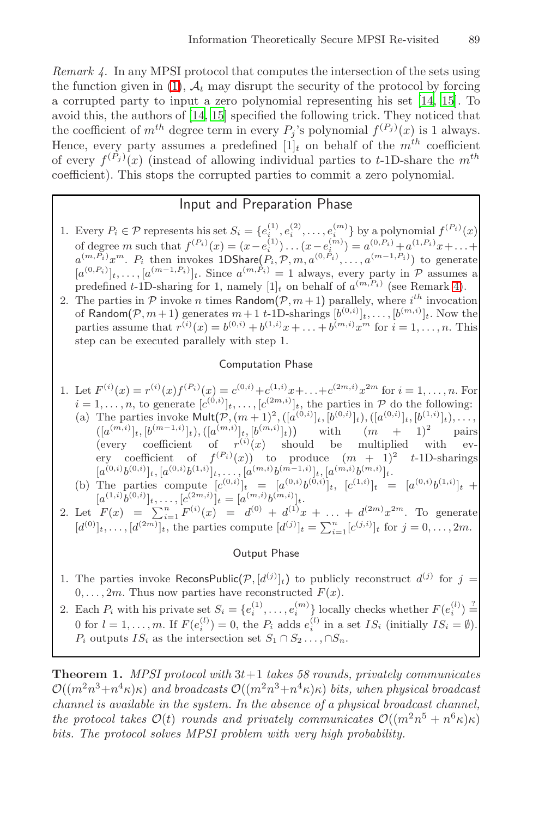*Remark 4.* In any MPSI protocol that computes the intersection of the sets using the function given in (1),  $A_t$  may disrupt the security of the protocol by forcing a corrupted party to input a zero polynomial representing his set [14, 15]. To avoid this, the authors of [14, 15] specified the following trick. They noticed that the coefficient of  $m^{th}$  degree term in every  $P_j$ 's polynomial  $f^{(P_j)}(x)$  is 1 always. Hence, every party assumes a predefined  $[1]_t$  on behalf of the  $m^{th}$  coefficient of every  $f^{(P_j)}(x)$  (instead of allowing individual parties to t-1D-share the  $m^{th}$ coefficient). This stops the corrupted parties to commi[t a](#page-17-0) zero polynomial.

# Input and Preparation Phase

- 1. Every  $P_i \in \mathcal{P}$  represents his set  $S_i = \{e_i^{(1)}, e_i^{(2)}, \dots, e_i^{(m)}\}$  by a polynomial  $f^{(P_i)}(x)$ of degree m such that  $f^{(P_i)}(x) = (x - e_i^{(1)}) \dots (x - e_i^{(m)}) = a_i^{(0, P_i)} + a_i^{(1, P_i)}x + \dots$  $a^{(m,P_i)}x^m$ .  $P_i$  then invokes 1DShare $(P_i, \mathcal{P}, m, a^{(0,P_i)}, \ldots, a^{(m-1,P_i)})$  to generate  $[a^{(0,P_i)}]_t,\ldots,[a^{(m-1,P_i)}]_t$ . Since  $a^{(m,P_i)}=1$  always, every party in  $P$  assumes a predefined t-1D-sharing for 1, namely  $[1]_t$  on behalf of  $a^{(m,P_i)}$  (see Remark 4).
- 2. The parties in  $P$  invoke n times Random $(P, m+1)$  parallely, where  $i^{th}$  invocation of Random $(\mathcal{P}, m+1)$  generates  $m+1$  t-1D-sharings  $[b^{(0,i)}]_t, \ldots, [b^{(m,i)}]_t$ . Now the parties assume that  $r^{(i)}(x) = b^{(0,i)} + b^{(1,i)}x + \ldots + b^{(m,i)}x^m$  for  $i = 1, \ldots, n$ . This step can be executed parallely with step 1.

#### Computation Phase

- 1. Let  $F^{(i)}(x) = r^{(i)}(x) f^{(P_i)}(x) = c^{(0,i)} + c^{(1,i)}x + \ldots + c^{(2m,i)}x^{2m}$  for  $i = 1, \ldots, n$ . For  $i = 1, \ldots, n$ , to generate  $[c^{(0,i)}]_t, \ldots, [c^{(2m,i)}]_t$ , the parties in  $P$  do the following:
	- (a) The parties invoke  $\text{Mult}(\mathcal{P}, (m+1)^2, ([a^{(0,i)}]_t, [b^{(0,i)}]_t), ([a^{(0,i)}]_t, [b^{(1,i)}]_t), \ldots,$  $([a^{(m,i)}]_t, [b^{(m-1,i)}]_t), ([a^{(m,i)}]_t, [b^{(m,i)}]_t)$  $\vert t)$  with  $(m + 1)^2$  pairs (every coefficient of  $r^{(i)}(x)$  should be multiplied with every coefficient of  $f^{(P_i)}(x)$  to produce  $(m + 1)^2$  t-1D-sharings  $[a^{(0,i)}b^{(0,i)}]_t,[a^{(0,i)}b^{(1,i)}]_t,\ldots,[a^{(m,i)}b^{(m-1,i)}]_t,[a^{(m,i)}b^{(m,i)}]_t.$
	- (b) The parties compute  $[c^{(0,i)}]_t = [a^{(0,i)}b^{(0,i)}]_t$ ,  $[c^{(1,i)}]_t = [a^{(0,i)}b^{(1,i)}]_t$  +  $[a^{(1,i)}b^{(0,i)}]_t,\ldots,[c^{(2m,i)}]_t=[a^{(m,i)}b^{(m,i)}]_t.$
- 2. Let  $F(x) = \sum_{i=1}^{n} F^{(i)}(x) = d^{(0)} + d^{(1)}x + \ldots + d^{(2m)}x^{2m}$ . To generate  $[d^{(0)}]_t, \ldots, [d^{(2m)}]_t$ , the parties compute  $[d^{(j)}]_t = \sum_{i=1}^n [c^{(j,i)}]_t$  for  $j = 0, \ldots, 2m$ .

#### Output Phase

- 1. The parties invoke ReconsPublic $(P, [d^{(j)}]_t)$  to publicly reconstruct  $d^{(j)}$  for  $j =$  $0, \ldots, 2m$ . Thus now parties have reconstructed  $F(x)$ .
- 2. Each  $P_i$  with his private set  $S_i = \{e_i^{(1)}, \ldots, e_i^{(m)}\}$  locally checks whether  $F(e_i^{(l)}) \stackrel{?}{=}$ 0 for  $l = 1, ..., m$ . If  $F(e_i^{(l)}) = 0$ , the  $P_i$  adds  $e_i^{(l)}$  in a set  $IS_i$  (initially  $IS_i = \emptyset$ ).  $P_i$  outputs  $IS_i$  as the intersection set  $S_1 \cap S_2 \ldots \cap S_n$ .

**Theorem 1.** *MPSI protocol with* 3t+1 *takes 58 rounds, privately communicates*  $\mathcal{O}((m^2n^3+n^4\kappa)\kappa)$  *and broadcasts*  $\mathcal{O}((m^2n^3+n^4\kappa)\kappa)$  *bits, when physical broadcast channel is available in the system. In the absence of a physical broadcast channel, the protocol takes*  $\mathcal{O}(t)$  *rounds and privately communicates*  $\mathcal{O}((m^2n^5 + n^6\kappa)\kappa)$ *bits. The protocol solves MPSI problem with very high probability.*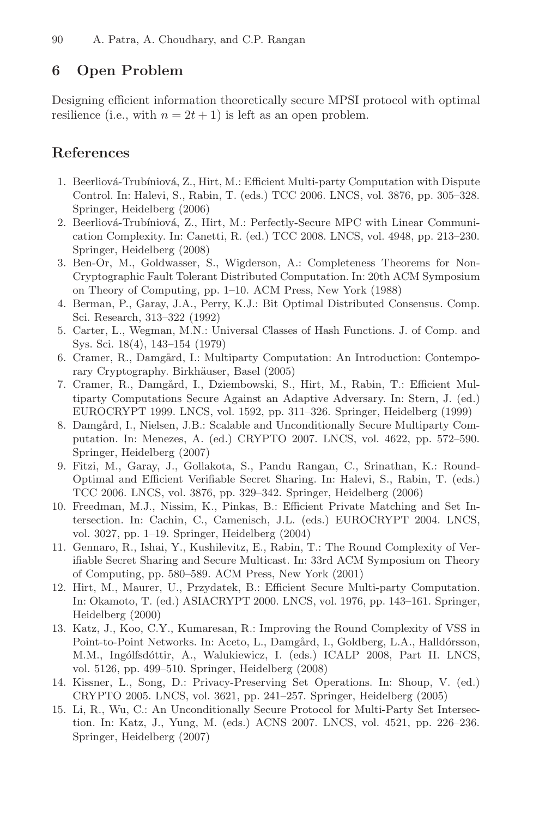# **6 Open Problem**

Designing efficient information theoretically secure MPSI protocol with optimal resilience (i.e., with  $n = 2t + 1$ ) is left as an open problem.

# **References**

- <span id="page-19-11"></span>1. Beerliová-Trubíniová, Z., Hirt, M.: Efficient Multi-party Computation with Dispute Control. In: Halevi, S., Rabin, T. (eds.) TCC 2006. LNCS, vol. 3876, pp. 305–328. Springer, Heidelberg (2006)
- <span id="page-19-6"></span>2. Beerliová-Trubíniová, Z., Hirt, M.: Perfectly-Secure MPC with Linear Communication Complexity. In: Canetti, R. (ed.) TCC 2008. LNCS, vol. 4948, pp. 213–230. Springer, Heidelberg (2008)
- 3. Ben-Or, M., Goldwasser, S., Wigderson, A.: Completeness Theorems for Non-Cryptographic Fault Tolerant Distributed Computation. In: 20th ACM Symposium on Theory of Computing, pp. 1–10. ACM Press, New York (1988)
- <span id="page-19-8"></span>4. Berman, P., Garay, J.A., Perry, K.J.: Bit Optimal Distributed Consensus. Comp. Sci. Research, 313–322 (1992)
- <span id="page-19-9"></span>5. Carter, L., Wegman, M.N.: Universal Classes of Hash Functions. J. of Comp. and Sys. Sci. 18(4), 143–154 (1979)
- <span id="page-19-13"></span>6. Cramer, R., Damgård, I.: Multiparty Computation: An Introduction: Contemporary Cryptography. Birkhäuser, Basel (2005)
- <span id="page-19-10"></span>7. Cramer, R., Damgård, I., Dziembowski, S., Hirt, M., Rabin, T.: Efficient Multiparty Computations Secure Against an Adaptive Adversary. In: Stern, J. (ed.) EUROCRYPT 1999. LNCS, vol. 1592, pp. 311–326. Springer, Heidelberg (1999)
- <span id="page-19-7"></span>8. Damgård, I., Nielsen, J.B.: Scalable and Unconditionally Secure Multiparty Computation. In: Menezes, A. (ed.) CRYPTO 2007. LNCS, vol. 4622, pp. 572–590. Springer, Heidelberg (2007)
- <span id="page-19-12"></span>9. Fitzi, M., Garay, J., Gollakota, S., Pandu Rangan, C., Srinathan, K.: Round-Optimal and Efficient Verifiable Secret Sharing. In: Halevi, S., Rabin, T. (eds.) TCC 2006. LNCS, vol. 3876, pp. 329–342. Springer, Heidelberg (2006)
- <span id="page-19-1"></span>10. Freedman, M.J., Nissim, K., Pinkas, B.: Efficient Private Matching and Set Intersection. In: Cachin, C., Camenisch, J.L. (eds.) EUROCRYPT 2004. LNCS, vol. 3027, pp. 1–19. Springer, Heidelberg (2004)
- <span id="page-19-3"></span>11. Gennaro, R., Ishai, Y., Kushilevitz, E., Rabin, T.: The Round Complexity of Verifiable Secret Sharing and Secure Multicast. In: 33rd ACM Symposium on Theory of Computing, pp. 580–589. ACM Press, New York (2001)
- <span id="page-19-5"></span>12. Hirt, M., Maurer, U., Przydatek, B.: Efficient Secure Multi-party Computation. In: Okamoto, T. (ed.) ASIACRYPT 2000. LNCS, vol. 1976, pp. 143–161. Springer, Heidelberg (2000)
- <span id="page-19-4"></span>13. Katz, J., Koo, C.Y., Kumaresan, R.: Improving the Round Complexity of VSS in Point-to-Point Networks. In: Aceto, L., Damgård, I., Goldberg, L.A., Halldórsson, M.M., Ingólfsdóttir, A., Walukiewicz, I. (eds.) ICALP 2008, Part II. LNCS, vol. 5126, pp. 499–510. Springer, Heidelberg (2008)
- <span id="page-19-2"></span>14. Kissner, L., Song, D.: Privacy-Preserving Set Operations. In: Shoup, V. (ed.) CRYPTO 2005. LNCS, vol. 3621, pp. 241–257. Springer, Heidelberg (2005)
- <span id="page-19-0"></span>15. Li, R., Wu, C.: An Unconditionally Secure Protocol for Multi-Party Set Intersection. In: Katz, J., Yung, M. (eds.) ACNS 2007. LNCS, vol. 4521, pp. 226–236. Springer, Heidelberg (2007)